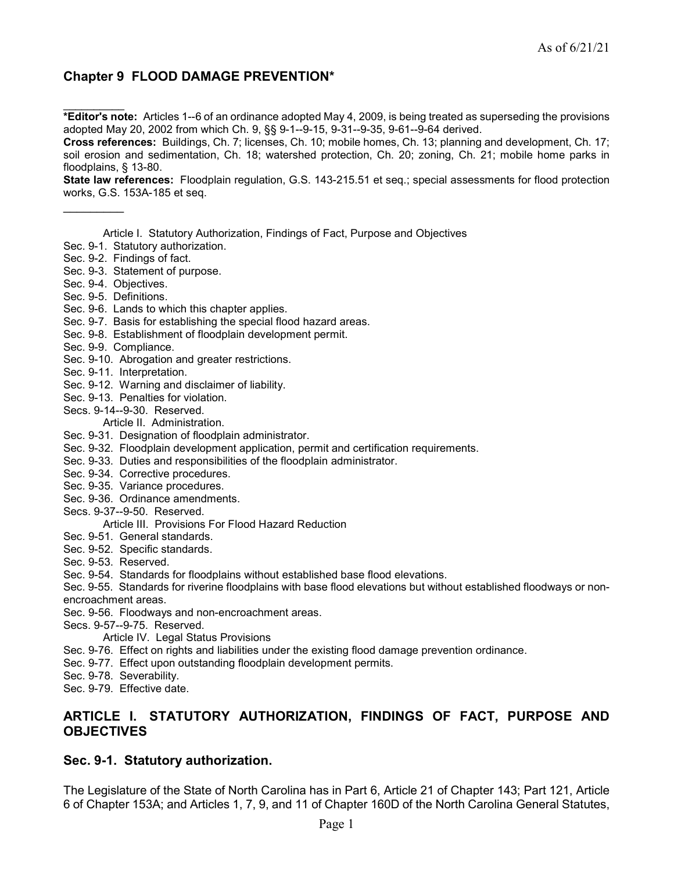# Chapter 9 FLOOD DAMAGE PREVENTION\*

 $\frac{1}{2}$  ,  $\frac{1}{2}$  ,  $\frac{1}{2}$  ,  $\frac{1}{2}$  ,  $\frac{1}{2}$ \*Editor's note: Articles 1--6 of an ordinance adopted May 4, 2009, is being treated as superseding the provisions adopted May 20, 2002 from which Ch. 9, §§ 9-1--9-15, 9-31--9-35, 9-61--9-64 derived.

Cross references: Buildings, Ch. 7; licenses, Ch. 10; mobile homes, Ch. 13; planning and development, Ch. 17; soil erosion and sedimentation, Ch. 18; watershed protection, Ch. 20; zoning, Ch. 21; mobile home parks in floodplains, § 13-80.

State law references: Floodplain regulation, G.S. 143-215.51 et seq.; special assessments for flood protection works, G.S. 153A-185 et seq.

- Article I. Statutory Authorization, Findings of Fact, Purpose and Objectives
- Sec. 9-1. Statutory authorization.
- Sec. 9-2. Findings of fact.
- Sec. 9-3. Statement of purpose.
- Sec. 9-4. Objectives.
- Sec. 9-5. Definitions.

 $\frac{1}{2}$ 

- Sec. 9-6. Lands to which this chapter applies.
- Sec. 9-7. Basis for establishing the special flood hazard areas.
- Sec. 9-8. Establishment of floodplain development permit.
- Sec. 9-9. Compliance.
- Sec. 9-10. Abrogation and greater restrictions.
- Sec. 9-11. Interpretation.
- Sec. 9-12. Warning and disclaimer of liability.
- Sec. 9-13. Penalties for violation.
- Secs. 9-14--9-30. Reserved.

#### Article II. Administration.

- Sec. 9-31. Designation of floodplain administrator.
- Sec. 9-32. Floodplain development application, permit and certification requirements.
- Sec. 9-33. Duties and responsibilities of the floodplain administrator.
- Sec. 9-34. Corrective procedures.
- Sec. 9-35. Variance procedures.
- Sec. 9-36. Ordinance amendments.
- Secs. 9-37--9-50. Reserved.
	- Article III. Provisions For Flood Hazard Reduction
- Sec. 9-51. General standards.
- Sec. 9-52. Specific standards.
- Sec. 9-53. Reserved.
- Sec. 9-54. Standards for floodplains without established base flood elevations.
- Sec. 9-55. Standards for riverine floodplains with base flood elevations but without established floodways or nonencroachment areas.
- Sec. 9-56. Floodways and non-encroachment areas.
- Secs. 9-57--9-75. Reserved.

Article IV. Legal Status Provisions

- Sec. 9-76. Effect on rights and liabilities under the existing flood damage prevention ordinance.
- Sec. 9-77. Effect upon outstanding floodplain development permits.
- Sec. 9-78. Severability.
- Sec. 9-79. Effective date.

# ARTICLE I. STATUTORY AUTHORIZATION, FINDINGS OF FACT, PURPOSE AND **OBJECTIVES**

## Sec. 9-1. Statutory authorization.

The Legislature of the State of North Carolina has in Part 6, Article 21 of Chapter 143; Part 121, Article 6 of Chapter 153A; and Articles 1, 7, 9, and 11 of Chapter 160D of the North Carolina General Statutes,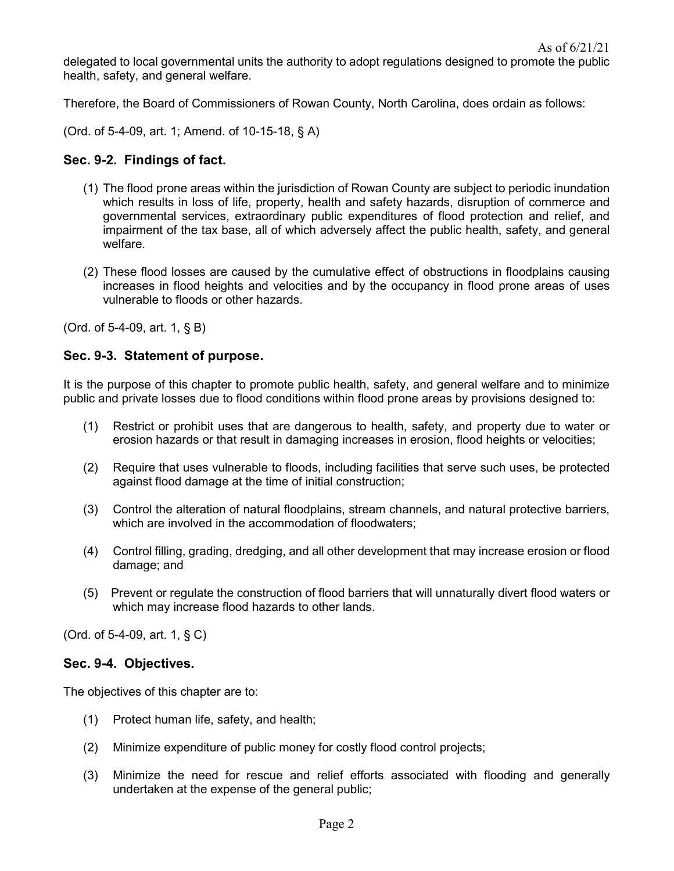delegated to local governmental units the authority to adopt regulations designed to promote the public health, safety, and general welfare.

Therefore, the Board of Commissioners of Rowan County, North Carolina, does ordain as follows:

(Ord. of 5-4-09, art. 1; Amend. of 10-15-18, § A)

### Sec. 9-2. Findings of fact.

- (1) The flood prone areas within the jurisdiction of Rowan County are subject to periodic inundation which results in loss of life, property, health and safety hazards, disruption of commerce and governmental services, extraordinary public expenditures of flood protection and relief, and impairment of the tax base, all of which adversely affect the public health, safety, and general welfare.
- (2) These flood losses are caused by the cumulative effect of obstructions in floodplains causing increases in flood heights and velocities and by the occupancy in flood prone areas of uses vulnerable to floods or other hazards.

(Ord. of 5-4-09, art. 1, § B)

### Sec. 9-3. Statement of purpose.

It is the purpose of this chapter to promote public health, safety, and general welfare and to minimize public and private losses due to flood conditions within flood prone areas by provisions designed to:

- (1) Restrict or prohibit uses that are dangerous to health, safety, and property due to water or erosion hazards or that result in damaging increases in erosion, flood heights or velocities;
- (2) Require that uses vulnerable to floods, including facilities that serve such uses, be protected against flood damage at the time of initial construction;
- (3) Control the alteration of natural floodplains, stream channels, and natural protective barriers, which are involved in the accommodation of floodwaters;
- (4) Control filling, grading, dredging, and all other development that may increase erosion or flood damage; and
- (5) Prevent or regulate the construction of flood barriers that will unnaturally divert flood waters or which may increase flood hazards to other lands.

(Ord. of 5-4-09, art. 1, § C)

#### Sec. 9-4. Objectives.

The objectives of this chapter are to:

- (1) Protect human life, safety, and health;
- (2) Minimize expenditure of public money for costly flood control projects;
- (3) Minimize the need for rescue and relief efforts associated with flooding and generally undertaken at the expense of the general public;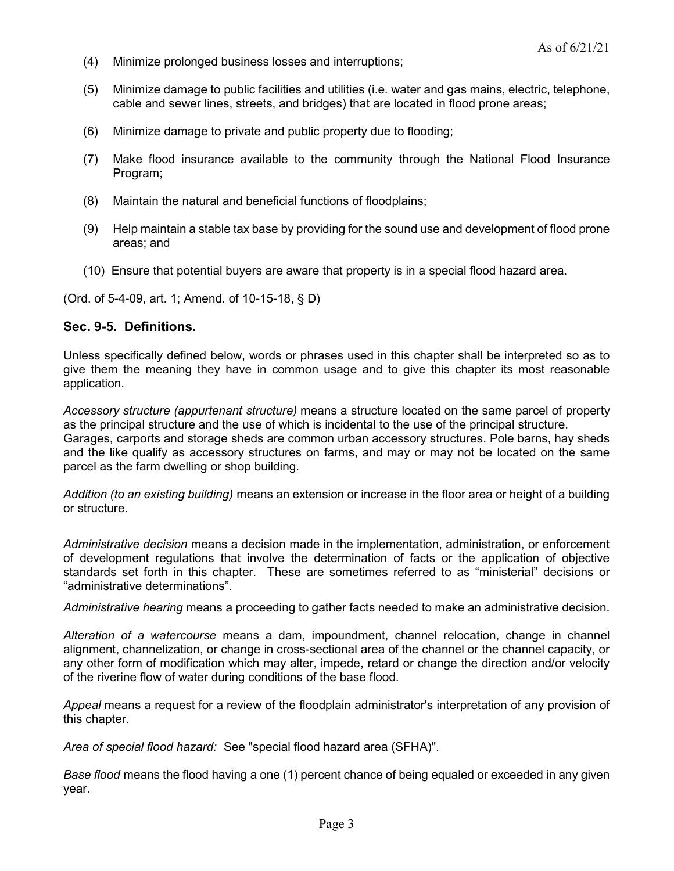- (4) Minimize prolonged business losses and interruptions;
- (5) Minimize damage to public facilities and utilities (i.e. water and gas mains, electric, telephone, cable and sewer lines, streets, and bridges) that are located in flood prone areas;
- (6) Minimize damage to private and public property due to flooding;
- (7) Make flood insurance available to the community through the National Flood Insurance Program;
- (8) Maintain the natural and beneficial functions of floodplains;
- (9) Help maintain a stable tax base by providing for the sound use and development of flood prone areas; and
- (10) Ensure that potential buyers are aware that property is in a special flood hazard area.

(Ord. of 5-4-09, art. 1; Amend. of 10-15-18, § D)

#### Sec. 9-5. Definitions.

Unless specifically defined below, words or phrases used in this chapter shall be interpreted so as to give them the meaning they have in common usage and to give this chapter its most reasonable application.

Accessory structure (appurtenant structure) means a structure located on the same parcel of property as the principal structure and the use of which is incidental to the use of the principal structure. Garages, carports and storage sheds are common urban accessory structures. Pole barns, hay sheds and the like qualify as accessory structures on farms, and may or may not be located on the same parcel as the farm dwelling or shop building.

Addition (to an existing building) means an extension or increase in the floor area or height of a building or structure.

Administrative decision means a decision made in the implementation, administration, or enforcement of development regulations that involve the determination of facts or the application of objective standards set forth in this chapter. These are sometimes referred to as "ministerial" decisions or "administrative determinations".

Administrative hearing means a proceeding to gather facts needed to make an administrative decision.

Alteration of a watercourse means a dam, impoundment, channel relocation, change in channel alignment, channelization, or change in cross-sectional area of the channel or the channel capacity, or any other form of modification which may alter, impede, retard or change the direction and/or velocity of the riverine flow of water during conditions of the base flood.

Appeal means a request for a review of the floodplain administrator's interpretation of any provision of this chapter.

Area of special flood hazard: See "special flood hazard area (SFHA)".

Base flood means the flood having a one (1) percent chance of being equaled or exceeded in any given year.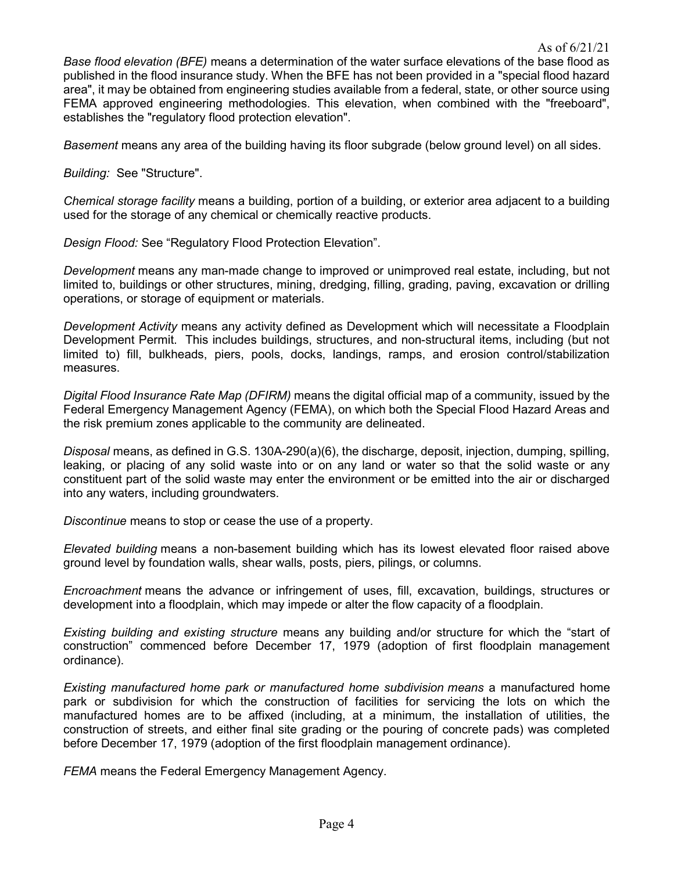Base flood elevation (BFE) means a determination of the water surface elevations of the base flood as published in the flood insurance study. When the BFE has not been provided in a "special flood hazard area", it may be obtained from engineering studies available from a federal, state, or other source using FEMA approved engineering methodologies. This elevation, when combined with the "freeboard", establishes the "regulatory flood protection elevation".

Basement means any area of the building having its floor subgrade (below ground level) on all sides.

Building: See "Structure".

Chemical storage facility means a building, portion of a building, or exterior area adjacent to a building used for the storage of any chemical or chemically reactive products.

Design Flood: See "Regulatory Flood Protection Elevation".

Development means any man-made change to improved or unimproved real estate, including, but not limited to, buildings or other structures, mining, dredging, filling, grading, paving, excavation or drilling operations, or storage of equipment or materials.

Development Activity means any activity defined as Development which will necessitate a Floodplain Development Permit. This includes buildings, structures, and non-structural items, including (but not limited to) fill, bulkheads, piers, pools, docks, landings, ramps, and erosion control/stabilization measures.

Digital Flood Insurance Rate Map (DFIRM) means the digital official map of a community, issued by the Federal Emergency Management Agency (FEMA), on which both the Special Flood Hazard Areas and the risk premium zones applicable to the community are delineated.

Disposal means, as defined in G.S. 130A-290(a)(6), the discharge, deposit, injection, dumping, spilling, leaking, or placing of any solid waste into or on any land or water so that the solid waste or any constituent part of the solid waste may enter the environment or be emitted into the air or discharged into any waters, including groundwaters.

Discontinue means to stop or cease the use of a property.

Elevated building means a non-basement building which has its lowest elevated floor raised above ground level by foundation walls, shear walls, posts, piers, pilings, or columns.

Encroachment means the advance or infringement of uses, fill, excavation, buildings, structures or development into a floodplain, which may impede or alter the flow capacity of a floodplain.

Existing building and existing structure means any building and/or structure for which the "start of construction" commenced before December 17, 1979 (adoption of first floodplain management ordinance).

Existing manufactured home park or manufactured home subdivision means a manufactured home park or subdivision for which the construction of facilities for servicing the lots on which the manufactured homes are to be affixed (including, at a minimum, the installation of utilities, the construction of streets, and either final site grading or the pouring of concrete pads) was completed before December 17, 1979 (adoption of the first floodplain management ordinance).

FEMA means the Federal Emergency Management Agency.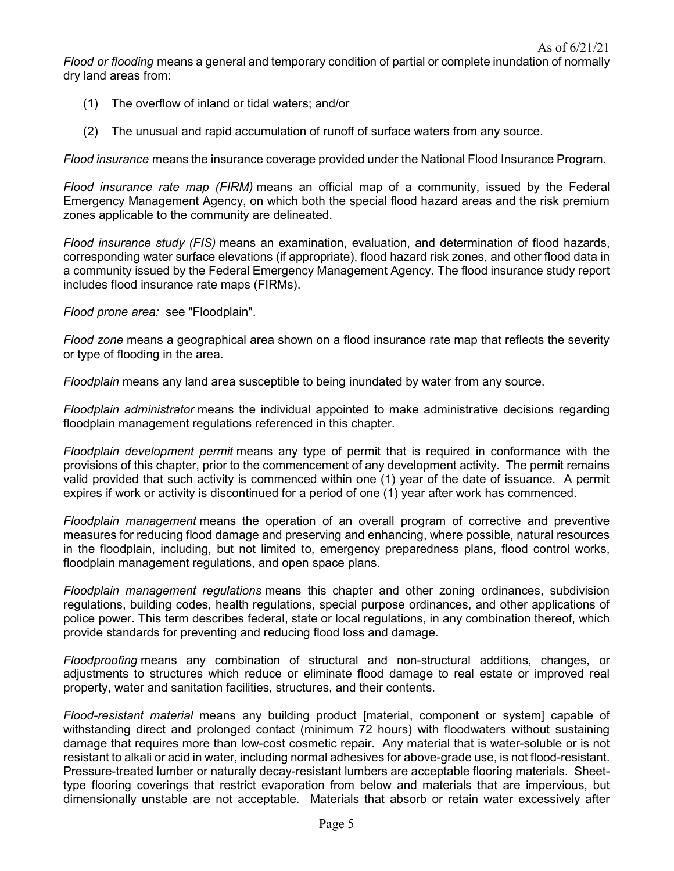- (1) The overflow of inland or tidal waters; and/or
- (2) The unusual and rapid accumulation of runoff of surface waters from any source.

Flood insurance means the insurance coverage provided under the National Flood Insurance Program.

Flood insurance rate map (FIRM) means an official map of a community, issued by the Federal Emergency Management Agency, on which both the special flood hazard areas and the risk premium zones applicable to the community are delineated.

Flood insurance study (FIS) means an examination, evaluation, and determination of flood hazards, corresponding water surface elevations (if appropriate), flood hazard risk zones, and other flood data in a community issued by the Federal Emergency Management Agency. The flood insurance study report includes flood insurance rate maps (FIRMs).

Flood prone area: see "Floodplain".

Flood zone means a geographical area shown on a flood insurance rate map that reflects the severity or type of flooding in the area.

Floodplain means any land area susceptible to being inundated by water from any source.

Floodplain administrator means the individual appointed to make administrative decisions regarding floodplain management regulations referenced in this chapter.

Floodplain development permit means any type of permit that is required in conformance with the provisions of this chapter, prior to the commencement of any development activity. The permit remains valid provided that such activity is commenced within one (1) year of the date of issuance. A permit expires if work or activity is discontinued for a period of one (1) year after work has commenced.

Floodplain management means the operation of an overall program of corrective and preventive measures for reducing flood damage and preserving and enhancing, where possible, natural resources in the floodplain, including, but not limited to, emergency preparedness plans, flood control works, floodplain management regulations, and open space plans.

Floodplain management regulations means this chapter and other zoning ordinances, subdivision regulations, building codes, health regulations, special purpose ordinances, and other applications of police power. This term describes federal, state or local regulations, in any combination thereof, which provide standards for preventing and reducing flood loss and damage.

Floodproofing means any combination of structural and non-structural additions, changes, or adjustments to structures which reduce or eliminate flood damage to real estate or improved real property, water and sanitation facilities, structures, and their contents.

Flood-resistant material means any building product [material, component or system] capable of withstanding direct and prolonged contact (minimum 72 hours) with floodwaters without sustaining damage that requires more than low-cost cosmetic repair. Any material that is water-soluble or is not resistant to alkali or acid in water, including normal adhesives for above-grade use, is not flood-resistant. Pressure-treated lumber or naturally decay-resistant lumbers are acceptable flooring materials. Sheettype flooring coverings that restrict evaporation from below and materials that are impervious, but dimensionally unstable are not acceptable. Materials that absorb or retain water excessively after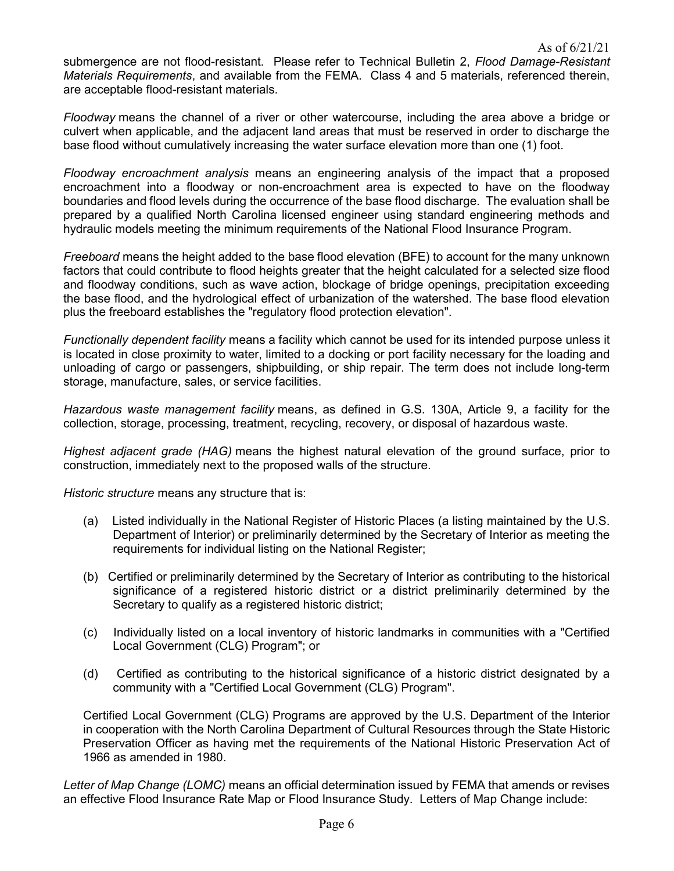submergence are not flood-resistant. Please refer to Technical Bulletin 2, Flood Damage-Resistant Materials Requirements, and available from the FEMA. Class 4 and 5 materials, referenced therein, are acceptable flood-resistant materials.

Floodway means the channel of a river or other watercourse, including the area above a bridge or culvert when applicable, and the adjacent land areas that must be reserved in order to discharge the base flood without cumulatively increasing the water surface elevation more than one (1) foot.

Floodway encroachment analysis means an engineering analysis of the impact that a proposed encroachment into a floodway or non-encroachment area is expected to have on the floodway boundaries and flood levels during the occurrence of the base flood discharge. The evaluation shall be prepared by a qualified North Carolina licensed engineer using standard engineering methods and hydraulic models meeting the minimum requirements of the National Flood Insurance Program.

Freeboard means the height added to the base flood elevation (BFE) to account for the many unknown factors that could contribute to flood heights greater that the height calculated for a selected size flood and floodway conditions, such as wave action, blockage of bridge openings, precipitation exceeding the base flood, and the hydrological effect of urbanization of the watershed. The base flood elevation plus the freeboard establishes the "regulatory flood protection elevation".

Functionally dependent facility means a facility which cannot be used for its intended purpose unless it is located in close proximity to water, limited to a docking or port facility necessary for the loading and unloading of cargo or passengers, shipbuilding, or ship repair. The term does not include long-term storage, manufacture, sales, or service facilities.

Hazardous waste management facility means, as defined in G.S. 130A, Article 9, a facility for the collection, storage, processing, treatment, recycling, recovery, or disposal of hazardous waste.

Highest adjacent grade (HAG) means the highest natural elevation of the ground surface, prior to construction, immediately next to the proposed walls of the structure.

Historic structure means any structure that is:

- (a) Listed individually in the National Register of Historic Places (a listing maintained by the U.S. Department of Interior) or preliminarily determined by the Secretary of Interior as meeting the requirements for individual listing on the National Register;
- (b) Certified or preliminarily determined by the Secretary of Interior as contributing to the historical significance of a registered historic district or a district preliminarily determined by the Secretary to qualify as a registered historic district;
- (c) Individually listed on a local inventory of historic landmarks in communities with a "Certified Local Government (CLG) Program"; or
- (d) Certified as contributing to the historical significance of a historic district designated by a community with a "Certified Local Government (CLG) Program".

Certified Local Government (CLG) Programs are approved by the U.S. Department of the Interior in cooperation with the North Carolina Department of Cultural Resources through the State Historic Preservation Officer as having met the requirements of the National Historic Preservation Act of 1966 as amended in 1980.

Letter of Map Change (LOMC) means an official determination issued by FEMA that amends or revises an effective Flood Insurance Rate Map or Flood Insurance Study. Letters of Map Change include: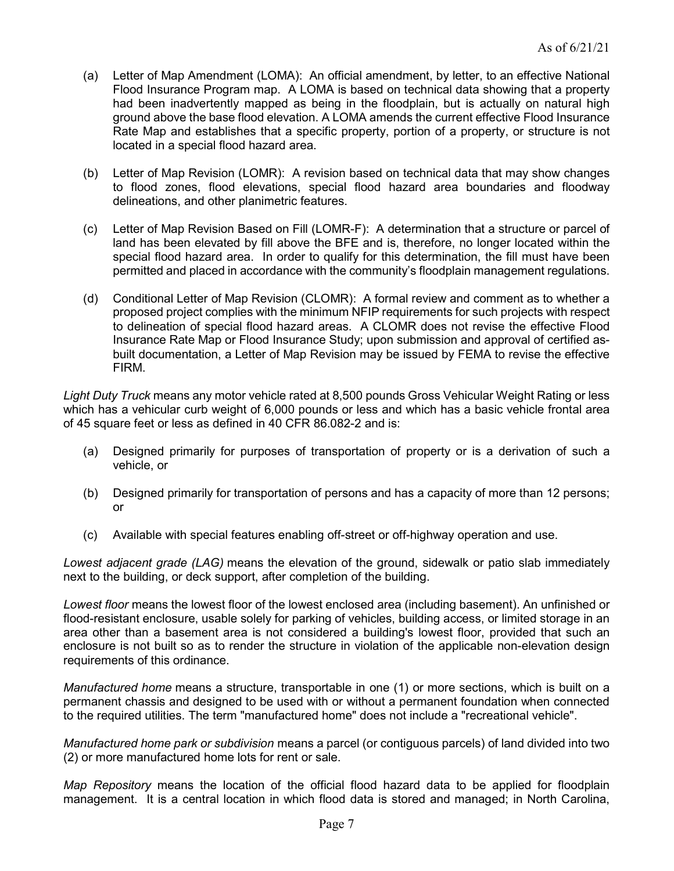- (a) Letter of Map Amendment (LOMA): An official amendment, by letter, to an effective National Flood Insurance Program map. A LOMA is based on technical data showing that a property had been inadvertently mapped as being in the floodplain, but is actually on natural high ground above the base flood elevation. A LOMA amends the current effective Flood Insurance Rate Map and establishes that a specific property, portion of a property, or structure is not located in a special flood hazard area.
- (b) Letter of Map Revision (LOMR): A revision based on technical data that may show changes to flood zones, flood elevations, special flood hazard area boundaries and floodway delineations, and other planimetric features.
- (c) Letter of Map Revision Based on Fill (LOMR-F): A determination that a structure or parcel of land has been elevated by fill above the BFE and is, therefore, no longer located within the special flood hazard area. In order to qualify for this determination, the fill must have been permitted and placed in accordance with the community's floodplain management regulations.
- (d) Conditional Letter of Map Revision (CLOMR): A formal review and comment as to whether a proposed project complies with the minimum NFIP requirements for such projects with respect to delineation of special flood hazard areas. A CLOMR does not revise the effective Flood Insurance Rate Map or Flood Insurance Study; upon submission and approval of certified asbuilt documentation, a Letter of Map Revision may be issued by FEMA to revise the effective FIRM.

Light Duty Truck means any motor vehicle rated at 8,500 pounds Gross Vehicular Weight Rating or less which has a vehicular curb weight of 6,000 pounds or less and which has a basic vehicle frontal area of 45 square feet or less as defined in 40 CFR 86.082-2 and is:

- (a) Designed primarily for purposes of transportation of property or is a derivation of such a vehicle, or
- (b) Designed primarily for transportation of persons and has a capacity of more than 12 persons; or
- (c) Available with special features enabling off-street or off-highway operation and use.

Lowest adjacent grade (LAG) means the elevation of the ground, sidewalk or patio slab immediately next to the building, or deck support, after completion of the building.

Lowest floor means the lowest floor of the lowest enclosed area (including basement). An unfinished or flood-resistant enclosure, usable solely for parking of vehicles, building access, or limited storage in an area other than a basement area is not considered a building's lowest floor, provided that such an enclosure is not built so as to render the structure in violation of the applicable non-elevation design requirements of this ordinance.

Manufactured home means a structure, transportable in one (1) or more sections, which is built on a permanent chassis and designed to be used with or without a permanent foundation when connected to the required utilities. The term "manufactured home" does not include a "recreational vehicle".

Manufactured home park or subdivision means a parcel (or contiguous parcels) of land divided into two (2) or more manufactured home lots for rent or sale.

Map Repository means the location of the official flood hazard data to be applied for floodplain management. It is a central location in which flood data is stored and managed; in North Carolina,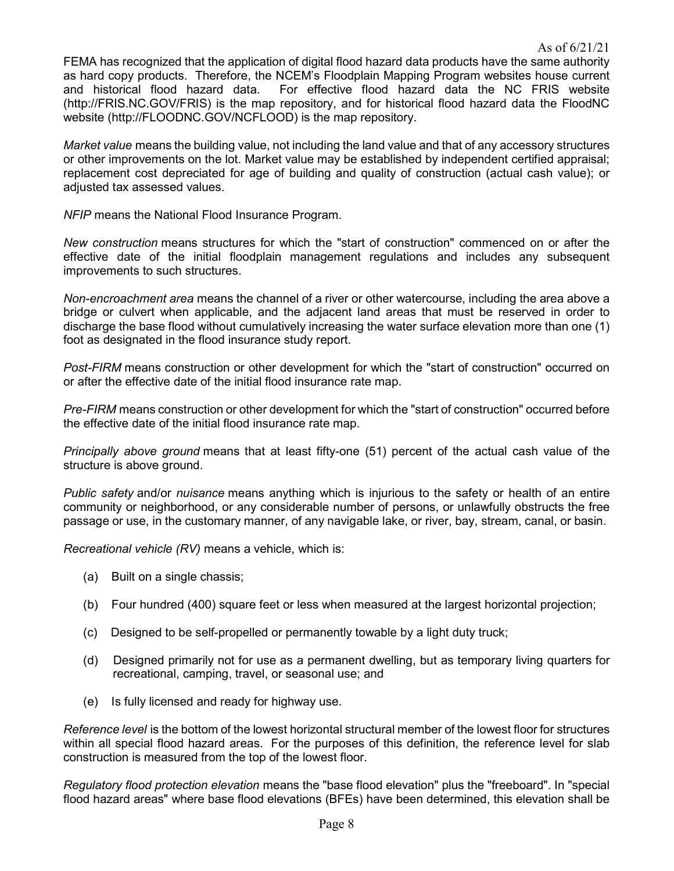FEMA has recognized that the application of digital flood hazard data products have the same authority as hard copy products. Therefore, the NCEM's Floodplain Mapping Program websites house current and historical flood hazard data. For effective flood hazard data the NC FRIS website (http://FRIS.NC.GOV/FRIS) is the map repository, and for historical flood hazard data the FloodNC website (http://FLOODNC.GOV/NCFLOOD) is the map repository.

Market value means the building value, not including the land value and that of any accessory structures or other improvements on the lot. Market value may be established by independent certified appraisal; replacement cost depreciated for age of building and quality of construction (actual cash value); or adjusted tax assessed values.

NFIP means the National Flood Insurance Program.

New construction means structures for which the "start of construction" commenced on or after the effective date of the initial floodplain management regulations and includes any subsequent improvements to such structures.

Non-encroachment area means the channel of a river or other watercourse, including the area above a bridge or culvert when applicable, and the adjacent land areas that must be reserved in order to discharge the base flood without cumulatively increasing the water surface elevation more than one (1) foot as designated in the flood insurance study report.

Post-FIRM means construction or other development for which the "start of construction" occurred on or after the effective date of the initial flood insurance rate map.

Pre-FIRM means construction or other development for which the "start of construction" occurred before the effective date of the initial flood insurance rate map.

Principally above ground means that at least fifty-one (51) percent of the actual cash value of the structure is above ground.

Public safety and/or nuisance means anything which is injurious to the safety or health of an entire community or neighborhood, or any considerable number of persons, or unlawfully obstructs the free passage or use, in the customary manner, of any navigable lake, or river, bay, stream, canal, or basin.

Recreational vehicle (RV) means a vehicle, which is:

- (a) Built on a single chassis;
- (b) Four hundred (400) square feet or less when measured at the largest horizontal projection;
- (c) Designed to be self-propelled or permanently towable by a light duty truck;
- (d) Designed primarily not for use as a permanent dwelling, but as temporary living quarters for recreational, camping, travel, or seasonal use; and
- (e) Is fully licensed and ready for highway use.

Reference level is the bottom of the lowest horizontal structural member of the lowest floor for structures within all special flood hazard areas. For the purposes of this definition, the reference level for slab construction is measured from the top of the lowest floor.

Regulatory flood protection elevation means the "base flood elevation" plus the "freeboard". In "special flood hazard areas" where base flood elevations (BFEs) have been determined, this elevation shall be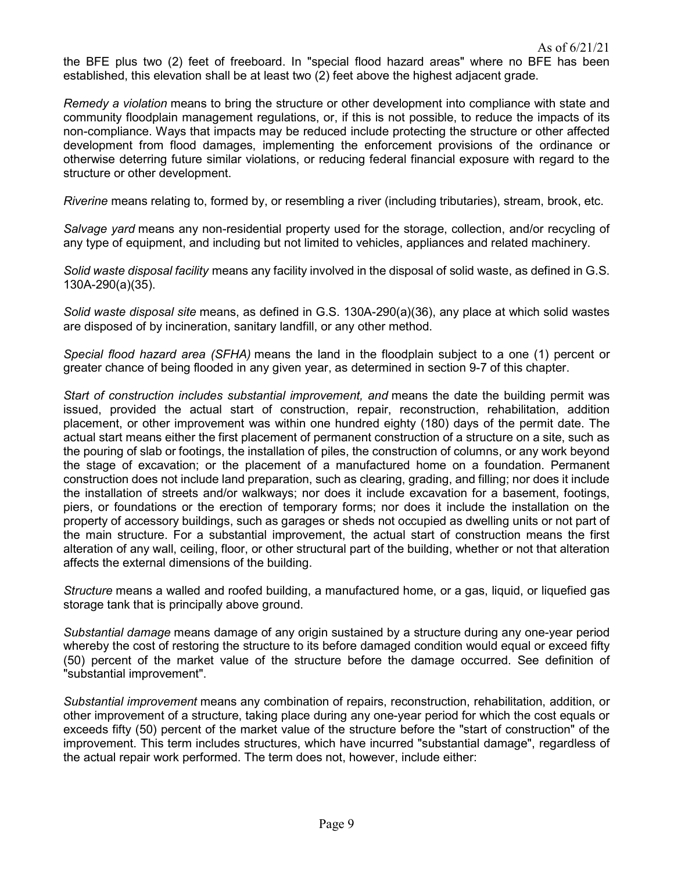the BFE plus two (2) feet of freeboard. In "special flood hazard areas" where no BFE has been established, this elevation shall be at least two (2) feet above the highest adjacent grade.

Remedy a violation means to bring the structure or other development into compliance with state and community floodplain management regulations, or, if this is not possible, to reduce the impacts of its non-compliance. Ways that impacts may be reduced include protecting the structure or other affected development from flood damages, implementing the enforcement provisions of the ordinance or otherwise deterring future similar violations, or reducing federal financial exposure with regard to the structure or other development.

Riverine means relating to, formed by, or resembling a river (including tributaries), stream, brook, etc.

Salvage yard means any non-residential property used for the storage, collection, and/or recycling of any type of equipment, and including but not limited to vehicles, appliances and related machinery.

Solid waste disposal facility means any facility involved in the disposal of solid waste, as defined in G.S. 130A-290(a)(35).

Solid waste disposal site means, as defined in G.S. 130A-290(a)(36), any place at which solid wastes are disposed of by incineration, sanitary landfill, or any other method.

Special flood hazard area (SFHA) means the land in the floodplain subiect to a one (1) percent or greater chance of being flooded in any given year, as determined in section 9-7 of this chapter.

Start of construction includes substantial improvement, and means the date the building permit was issued, provided the actual start of construction, repair, reconstruction, rehabilitation, addition placement, or other improvement was within one hundred eighty (180) days of the permit date. The actual start means either the first placement of permanent construction of a structure on a site, such as the pouring of slab or footings, the installation of piles, the construction of columns, or any work beyond the stage of excavation; or the placement of a manufactured home on a foundation. Permanent construction does not include land preparation, such as clearing, grading, and filling; nor does it include the installation of streets and/or walkways; nor does it include excavation for a basement, footings, piers, or foundations or the erection of temporary forms; nor does it include the installation on the property of accessory buildings, such as garages or sheds not occupied as dwelling units or not part of the main structure. For a substantial improvement, the actual start of construction means the first alteration of any wall, ceiling, floor, or other structural part of the building, whether or not that alteration affects the external dimensions of the building.

Structure means a walled and roofed building, a manufactured home, or a gas, liquid, or liquefied gas storage tank that is principally above ground.

Substantial damage means damage of any origin sustained by a structure during any one-year period whereby the cost of restoring the structure to its before damaged condition would equal or exceed fifty (50) percent of the market value of the structure before the damage occurred. See definition of "substantial improvement".

Substantial improvement means any combination of repairs, reconstruction, rehabilitation, addition, or other improvement of a structure, taking place during any one-year period for which the cost equals or exceeds fifty (50) percent of the market value of the structure before the "start of construction" of the improvement. This term includes structures, which have incurred "substantial damage", regardless of the actual repair work performed. The term does not, however, include either: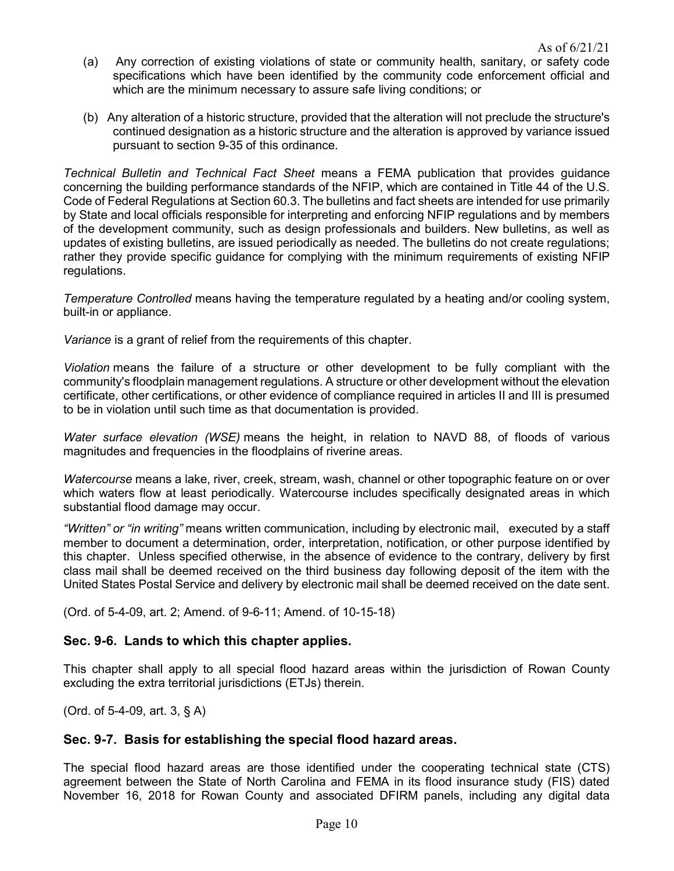- (a) Any correction of existing violations of state or community health, sanitary, or safety code specifications which have been identified by the community code enforcement official and which are the minimum necessary to assure safe living conditions; or
- (b) Any alteration of a historic structure, provided that the alteration will not preclude the structure's continued designation as a historic structure and the alteration is approved by variance issued pursuant to section 9-35 of this ordinance.

Technical Bulletin and Technical Fact Sheet means a FEMA publication that provides guidance concerning the building performance standards of the NFIP, which are contained in Title 44 of the U.S. Code of Federal Regulations at Section 60.3. The bulletins and fact sheets are intended for use primarily by State and local officials responsible for interpreting and enforcing NFIP regulations and by members of the development community, such as design professionals and builders. New bulletins, as well as updates of existing bulletins, are issued periodically as needed. The bulletins do not create regulations; rather they provide specific guidance for complying with the minimum requirements of existing NFIP regulations.

Temperature Controlled means having the temperature regulated by a heating and/or cooling system, built-in or appliance.

Variance is a grant of relief from the requirements of this chapter.

Violation means the failure of a structure or other development to be fully compliant with the community's floodplain management regulations. A structure or other development without the elevation certificate, other certifications, or other evidence of compliance required in articles II and III is presumed to be in violation until such time as that documentation is provided.

Water surface elevation (WSE) means the height, in relation to NAVD 88, of floods of various magnitudes and frequencies in the floodplains of riverine areas.

Watercourse means a lake, river, creek, stream, wash, channel or other topographic feature on or over which waters flow at least periodically. Watercourse includes specifically designated areas in which substantial flood damage may occur.

"Written" or "in writing" means written communication, including by electronic mail, executed by a staff member to document a determination, order, interpretation, notification, or other purpose identified by this chapter. Unless specified otherwise, in the absence of evidence to the contrary, delivery by first class mail shall be deemed received on the third business day following deposit of the item with the United States Postal Service and delivery by electronic mail shall be deemed received on the date sent.

(Ord. of 5-4-09, art. 2; Amend. of 9-6-11; Amend. of 10-15-18)

### Sec. 9-6. Lands to which this chapter applies.

This chapter shall apply to all special flood hazard areas within the jurisdiction of Rowan County excluding the extra territorial jurisdictions (ETJs) therein.

(Ord. of 5-4-09, art. 3, § A)

## Sec. 9-7. Basis for establishing the special flood hazard areas.

The special flood hazard areas are those identified under the cooperating technical state (CTS) agreement between the State of North Carolina and FEMA in its flood insurance study (FIS) dated November 16, 2018 for Rowan County and associated DFIRM panels, including any digital data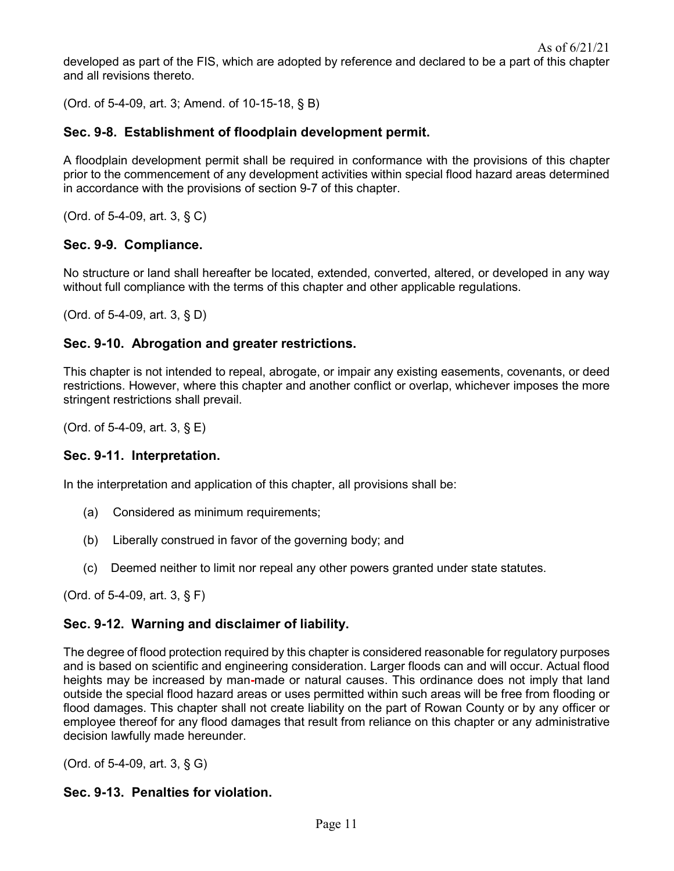(Ord. of 5-4-09, art. 3; Amend. of 10-15-18, § B)

# Sec. 9-8. Establishment of floodplain development permit.

A floodplain development permit shall be required in conformance with the provisions of this chapter prior to the commencement of any development activities within special flood hazard areas determined in accordance with the provisions of section 9-7 of this chapter.

(Ord. of 5-4-09, art. 3, § C)

# Sec. 9-9. Compliance.

No structure or land shall hereafter be located, extended, converted, altered, or developed in any way without full compliance with the terms of this chapter and other applicable regulations.

(Ord. of 5-4-09, art. 3, § D)

# Sec. 9-10. Abrogation and greater restrictions.

This chapter is not intended to repeal, abrogate, or impair any existing easements, covenants, or deed restrictions. However, where this chapter and another conflict or overlap, whichever imposes the more stringent restrictions shall prevail.

(Ord. of 5-4-09, art. 3, § E)

# Sec. 9-11. Interpretation.

In the interpretation and application of this chapter, all provisions shall be:

- (a) Considered as minimum requirements;
- (b) Liberally construed in favor of the governing body; and
- (c) Deemed neither to limit nor repeal any other powers granted under state statutes.

(Ord. of 5-4-09, art. 3, § F)

# Sec. 9-12. Warning and disclaimer of liability.

The degree of flood protection required by this chapter is considered reasonable for regulatory purposes and is based on scientific and engineering consideration. Larger floods can and will occur. Actual flood heights may be increased by man-made or natural causes. This ordinance does not imply that land outside the special flood hazard areas or uses permitted within such areas will be free from flooding or flood damages. This chapter shall not create liability on the part of Rowan County or by any officer or employee thereof for any flood damages that result from reliance on this chapter or any administrative decision lawfully made hereunder.

(Ord. of 5-4-09, art. 3, § G)

# Sec. 9-13. Penalties for violation.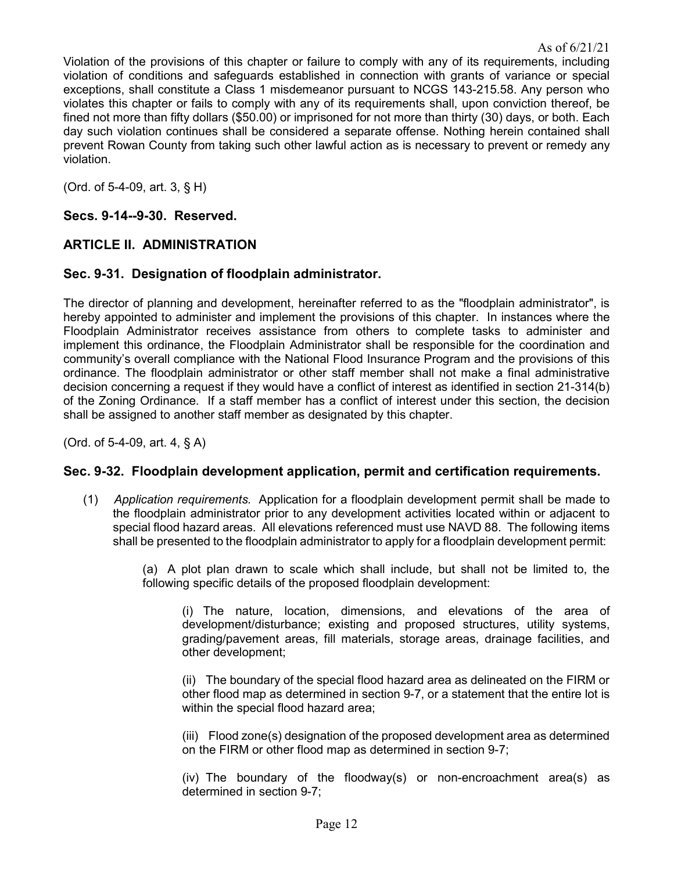Violation of the provisions of this chapter or failure to comply with any of its requirements, including violation of conditions and safeguards established in connection with grants of variance or special exceptions, shall constitute a Class 1 misdemeanor pursuant to NCGS 143-215.58. Any person who violates this chapter or fails to comply with any of its requirements shall, upon conviction thereof, be fined not more than fifty dollars (\$50.00) or imprisoned for not more than thirty (30) days, or both. Each day such violation continues shall be considered a separate offense. Nothing herein contained shall prevent Rowan County from taking such other lawful action as is necessary to prevent or remedy any violation.

(Ord. of 5-4-09, art. 3, § H)

## Secs. 9-14--9-30. Reserved.

## ARTICLE II. ADMINISTRATION

### Sec. 9-31. Designation of floodplain administrator.

The director of planning and development, hereinafter referred to as the "floodplain administrator", is hereby appointed to administer and implement the provisions of this chapter. In instances where the Floodplain Administrator receives assistance from others to complete tasks to administer and implement this ordinance, the Floodplain Administrator shall be responsible for the coordination and community's overall compliance with the National Flood Insurance Program and the provisions of this ordinance. The floodplain administrator or other staff member shall not make a final administrative decision concerning a request if they would have a conflict of interest as identified in section 21-314(b) of the Zoning Ordinance. If a staff member has a conflict of interest under this section, the decision shall be assigned to another staff member as designated by this chapter.

(Ord. of 5-4-09, art. 4, § A)

### Sec. 9-32. Floodplain development application, permit and certification requirements.

(1) Application requirements. Application for a floodplain development permit shall be made to the floodplain administrator prior to any development activities located within or adjacent to special flood hazard areas. All elevations referenced must use NAVD 88. The following items shall be presented to the floodplain administrator to apply for a floodplain development permit:

> (a) A plot plan drawn to scale which shall include, but shall not be limited to, the following specific details of the proposed floodplain development:

(i) The nature, location, dimensions, and elevations of the area of development/disturbance; existing and proposed structures, utility systems, grading/pavement areas, fill materials, storage areas, drainage facilities, and other development;

(ii) The boundary of the special flood hazard area as delineated on the FIRM or other flood map as determined in section 9-7, or a statement that the entire lot is within the special flood hazard area;

(iii) Flood zone(s) designation of the proposed development area as determined on the FIRM or other flood map as determined in section 9-7;

(iv) The boundary of the floodway(s) or non-encroachment area(s) as determined in section 9-7;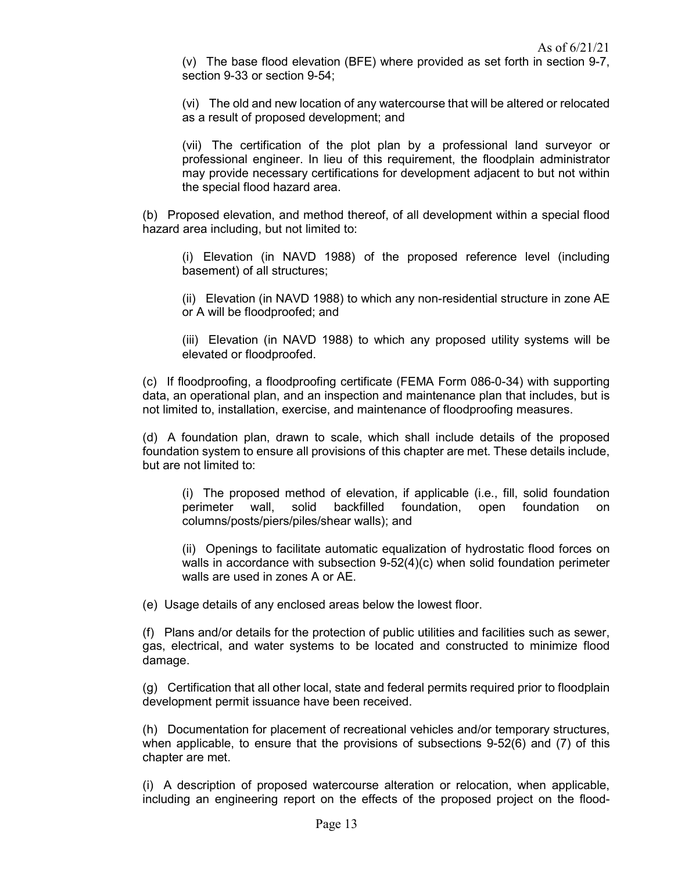(v) The base flood elevation (BFE) where provided as set forth in section 9-7, section 9-33 or section 9-54;

(vi) The old and new location of any watercourse that will be altered or relocated as a result of proposed development; and

(vii) The certification of the plot plan by a professional land surveyor or professional engineer. In lieu of this requirement, the floodplain administrator may provide necessary certifications for development adjacent to but not within the special flood hazard area.

(b) Proposed elevation, and method thereof, of all development within a special flood hazard area including, but not limited to:

(i) Elevation (in NAVD 1988) of the proposed reference level (including basement) of all structures;

(ii) Elevation (in NAVD 1988) to which any non-residential structure in zone AE or A will be floodproofed; and

(iii) Elevation (in NAVD 1988) to which any proposed utility systems will be elevated or floodproofed.

(c) If floodproofing, a floodproofing certificate (FEMA Form 086-0-34) with supporting data, an operational plan, and an inspection and maintenance plan that includes, but is not limited to, installation, exercise, and maintenance of floodproofing measures.

(d) A foundation plan, drawn to scale, which shall include details of the proposed foundation system to ensure all provisions of this chapter are met. These details include, but are not limited to:

(i) The proposed method of elevation, if applicable (i.e., fill, solid foundation perimeter wall, solid backfilled foundation, open foundation on columns/posts/piers/piles/shear walls); and

(ii) Openings to facilitate automatic equalization of hydrostatic flood forces on walls in accordance with subsection 9-52(4)(c) when solid foundation perimeter walls are used in zones A or AE.

(e) Usage details of any enclosed areas below the lowest floor.

(f) Plans and/or details for the protection of public utilities and facilities such as sewer, gas, electrical, and water systems to be located and constructed to minimize flood damage.

(g) Certification that all other local, state and federal permits required prior to floodplain development permit issuance have been received.

(h) Documentation for placement of recreational vehicles and/or temporary structures, when applicable, to ensure that the provisions of subsections 9-52(6) and (7) of this chapter are met.

(i) A description of proposed watercourse alteration or relocation, when applicable, including an engineering report on the effects of the proposed project on the flood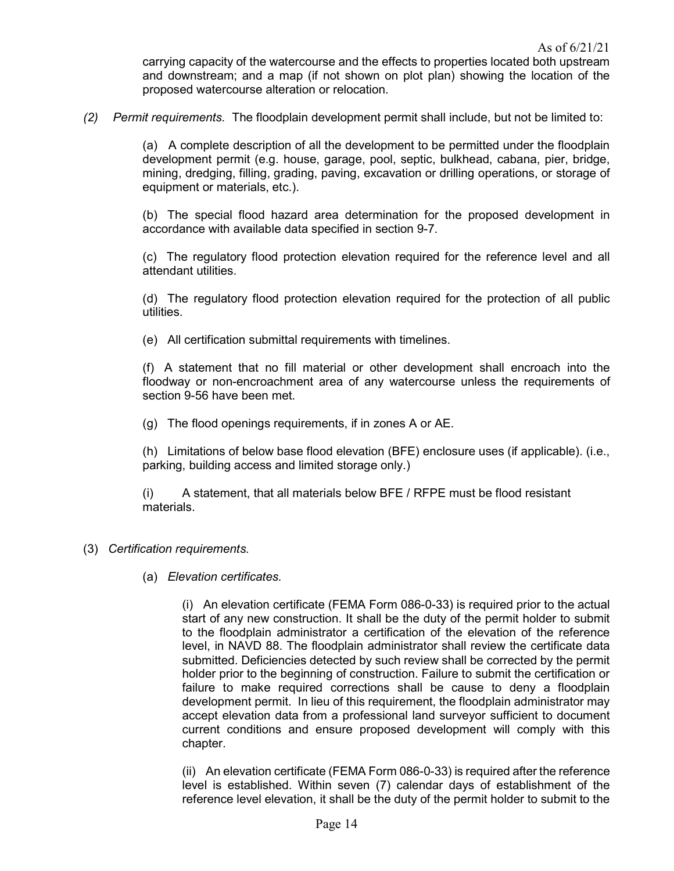carrying capacity of the watercourse and the effects to properties located both upstream and downstream; and a map (if not shown on plot plan) showing the location of the proposed watercourse alteration or relocation.

(2) Permit requirements. The floodplain development permit shall include, but not be limited to:

(a) A complete description of all the development to be permitted under the floodplain development permit (e.g. house, garage, pool, septic, bulkhead, cabana, pier, bridge, mining, dredging, filling, grading, paving, excavation or drilling operations, or storage of equipment or materials, etc.).

(b) The special flood hazard area determination for the proposed development in accordance with available data specified in section 9-7.

(c) The regulatory flood protection elevation required for the reference level and all attendant utilities.

(d) The regulatory flood protection elevation required for the protection of all public utilities.

(e) All certification submittal requirements with timelines.

(f) A statement that no fill material or other development shall encroach into the floodway or non-encroachment area of any watercourse unless the requirements of section 9-56 have been met.

(g) The flood openings requirements, if in zones A or AE.

(h) Limitations of below base flood elevation (BFE) enclosure uses (if applicable). (i.e., parking, building access and limited storage only.)

(i) A statement, that all materials below BFE / RFPE must be flood resistant materials.

#### (3) Certification requirements.

(a) Elevation certificates.

(i) An elevation certificate (FEMA Form 086-0-33) is required prior to the actual start of any new construction. It shall be the duty of the permit holder to submit to the floodplain administrator a certification of the elevation of the reference level, in NAVD 88. The floodplain administrator shall review the certificate data submitted. Deficiencies detected by such review shall be corrected by the permit holder prior to the beginning of construction. Failure to submit the certification or failure to make required corrections shall be cause to deny a floodplain development permit. In lieu of this requirement, the floodplain administrator may accept elevation data from a professional land surveyor sufficient to document current conditions and ensure proposed development will comply with this chapter.

(ii) An elevation certificate (FEMA Form 086-0-33) is required after the reference level is established. Within seven (7) calendar days of establishment of the reference level elevation, it shall be the duty of the permit holder to submit to the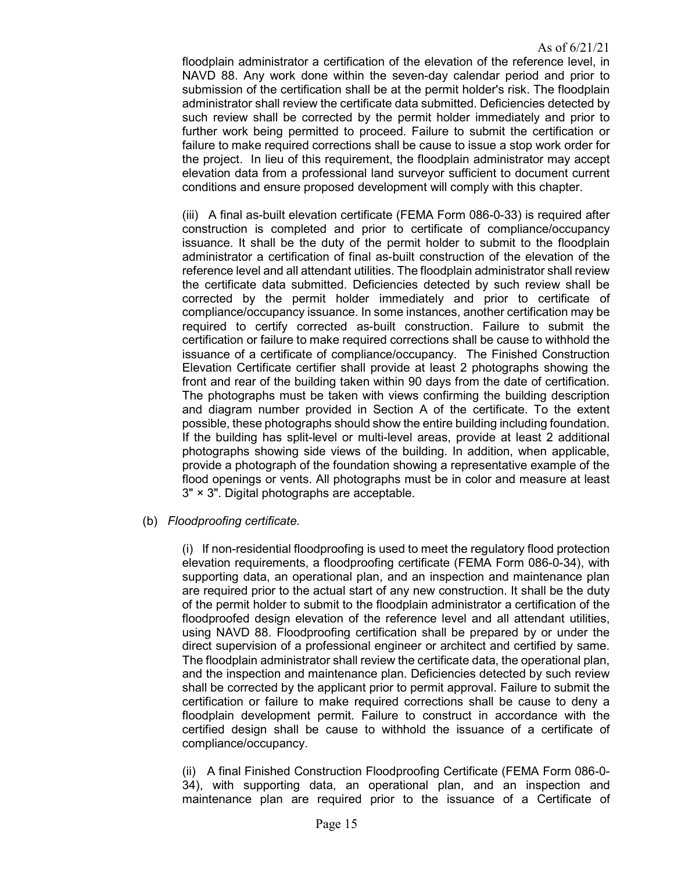floodplain administrator a certification of the elevation of the reference level, in NAVD 88. Any work done within the seven-day calendar period and prior to submission of the certification shall be at the permit holder's risk. The floodplain administrator shall review the certificate data submitted. Deficiencies detected by such review shall be corrected by the permit holder immediately and prior to further work being permitted to proceed. Failure to submit the certification or failure to make required corrections shall be cause to issue a stop work order for the project. In lieu of this requirement, the floodplain administrator may accept elevation data from a professional land surveyor sufficient to document current conditions and ensure proposed development will comply with this chapter.

(iii) A final as-built elevation certificate (FEMA Form 086-0-33) is required after construction is completed and prior to certificate of compliance/occupancy issuance. It shall be the duty of the permit holder to submit to the floodplain administrator a certification of final as-built construction of the elevation of the reference level and all attendant utilities. The floodplain administrator shall review the certificate data submitted. Deficiencies detected by such review shall be corrected by the permit holder immediately and prior to certificate of compliance/occupancy issuance. In some instances, another certification may be required to certify corrected as-built construction. Failure to submit the certification or failure to make required corrections shall be cause to withhold the issuance of a certificate of compliance/occupancy. The Finished Construction Elevation Certificate certifier shall provide at least 2 photographs showing the front and rear of the building taken within 90 days from the date of certification. The photographs must be taken with views confirming the building description and diagram number provided in Section A of the certificate. To the extent possible, these photographs should show the entire building including foundation. If the building has split-level or multi-level areas, provide at least 2 additional photographs showing side views of the building. In addition, when applicable, provide a photograph of the foundation showing a representative example of the flood openings or vents. All photographs must be in color and measure at least 3" × 3". Digital photographs are acceptable.

### (b) Floodproofing certificate.

(i) If non-residential floodproofing is used to meet the regulatory flood protection elevation requirements, a floodproofing certificate (FEMA Form 086-0-34), with supporting data, an operational plan, and an inspection and maintenance plan are required prior to the actual start of any new construction. It shall be the duty of the permit holder to submit to the floodplain administrator a certification of the floodproofed design elevation of the reference level and all attendant utilities, using NAVD 88. Floodproofing certification shall be prepared by or under the direct supervision of a professional engineer or architect and certified by same. The floodplain administrator shall review the certificate data, the operational plan, and the inspection and maintenance plan. Deficiencies detected by such review shall be corrected by the applicant prior to permit approval. Failure to submit the certification or failure to make required corrections shall be cause to deny a floodplain development permit. Failure to construct in accordance with the certified design shall be cause to withhold the issuance of a certificate of compliance/occupancy.

(ii) A final Finished Construction Floodproofing Certificate (FEMA Form 086-0- 34), with supporting data, an operational plan, and an inspection and maintenance plan are required prior to the issuance of a Certificate of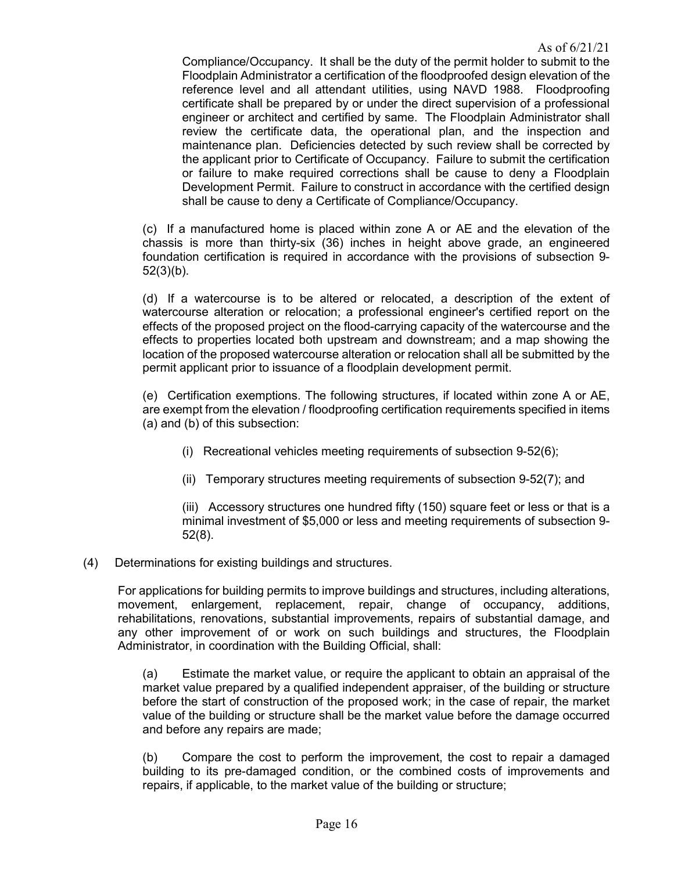Compliance/Occupancy. It shall be the duty of the permit holder to submit to the Floodplain Administrator a certification of the floodproofed design elevation of the reference level and all attendant utilities, using NAVD 1988. Floodproofing certificate shall be prepared by or under the direct supervision of a professional engineer or architect and certified by same. The Floodplain Administrator shall review the certificate data, the operational plan, and the inspection and maintenance plan. Deficiencies detected by such review shall be corrected by the applicant prior to Certificate of Occupancy. Failure to submit the certification or failure to make required corrections shall be cause to deny a Floodplain Development Permit. Failure to construct in accordance with the certified design shall be cause to deny a Certificate of Compliance/Occupancy.

(c) If a manufactured home is placed within zone A or AE and the elevation of the chassis is more than thirty-six (36) inches in height above grade, an engineered foundation certification is required in accordance with the provisions of subsection 9- 52(3)(b).

(d) If a watercourse is to be altered or relocated, a description of the extent of watercourse alteration or relocation; a professional engineer's certified report on the effects of the proposed project on the flood-carrying capacity of the watercourse and the effects to properties located both upstream and downstream; and a map showing the location of the proposed watercourse alteration or relocation shall all be submitted by the permit applicant prior to issuance of a floodplain development permit.

(e) Certification exemptions. The following structures, if located within zone A or AE, are exempt from the elevation / floodproofing certification requirements specified in items (a) and (b) of this subsection:

- (i) Recreational vehicles meeting requirements of subsection 9-52(6);
- (ii) Temporary structures meeting requirements of subsection 9-52(7); and

(iii) Accessory structures one hundred fifty (150) square feet or less or that is a minimal investment of \$5,000 or less and meeting requirements of subsection 9- 52(8).

(4) Determinations for existing buildings and structures.

For applications for building permits to improve buildings and structures, including alterations, movement, enlargement, replacement, repair, change of occupancy, additions, rehabilitations, renovations, substantial improvements, repairs of substantial damage, and any other improvement of or work on such buildings and structures, the Floodplain Administrator, in coordination with the Building Official, shall:

(a) Estimate the market value, or require the applicant to obtain an appraisal of the market value prepared by a qualified independent appraiser, of the building or structure before the start of construction of the proposed work; in the case of repair, the market value of the building or structure shall be the market value before the damage occurred and before any repairs are made;

(b) Compare the cost to perform the improvement, the cost to repair a damaged building to its pre-damaged condition, or the combined costs of improvements and repairs, if applicable, to the market value of the building or structure;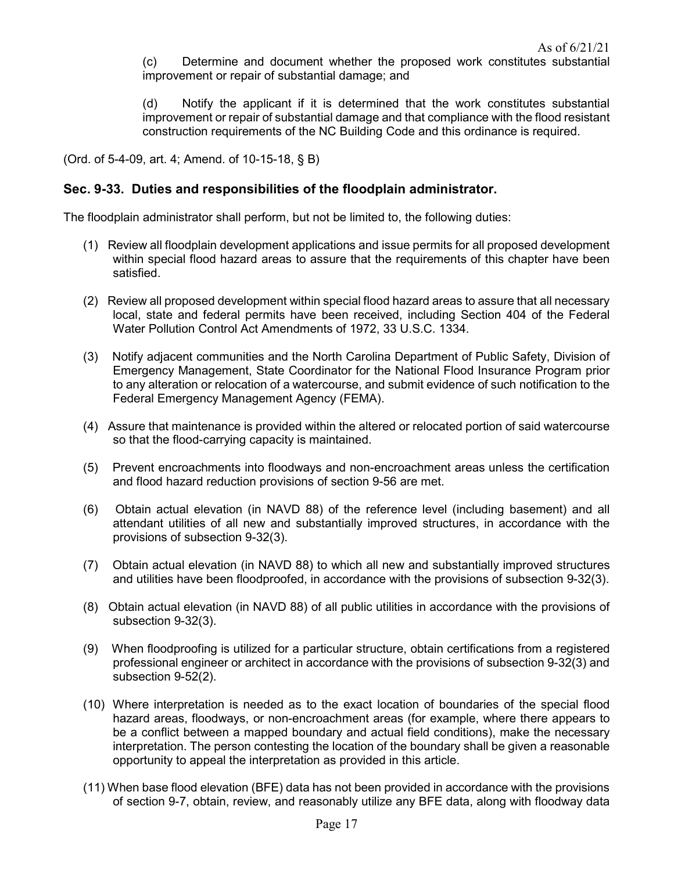(c) Determine and document whether the proposed work constitutes substantial improvement or repair of substantial damage; and

(d) Notify the applicant if it is determined that the work constitutes substantial improvement or repair of substantial damage and that compliance with the flood resistant construction requirements of the NC Building Code and this ordinance is required.

(Ord. of 5-4-09, art. 4; Amend. of 10-15-18, § B)

### Sec. 9-33. Duties and responsibilities of the floodplain administrator.

The floodplain administrator shall perform, but not be limited to, the following duties:

- (1) Review all floodplain development applications and issue permits for all proposed development within special flood hazard areas to assure that the requirements of this chapter have been satisfied.
- (2) Review all proposed development within special flood hazard areas to assure that all necessary local, state and federal permits have been received, including Section 404 of the Federal Water Pollution Control Act Amendments of 1972, 33 U.S.C. 1334.
- (3) Notify adjacent communities and the North Carolina Department of Public Safety, Division of Emergency Management, State Coordinator for the National Flood Insurance Program prior to any alteration or relocation of a watercourse, and submit evidence of such notification to the Federal Emergency Management Agency (FEMA).
- (4) Assure that maintenance is provided within the altered or relocated portion of said watercourse so that the flood-carrying capacity is maintained.
- (5) Prevent encroachments into floodways and non-encroachment areas unless the certification and flood hazard reduction provisions of section 9-56 are met.
- (6) Obtain actual elevation (in NAVD 88) of the reference level (including basement) and all attendant utilities of all new and substantially improved structures, in accordance with the provisions of subsection 9-32(3).
- (7) Obtain actual elevation (in NAVD 88) to which all new and substantially improved structures and utilities have been floodproofed, in accordance with the provisions of subsection 9-32(3).
- (8) Obtain actual elevation (in NAVD 88) of all public utilities in accordance with the provisions of subsection 9-32(3).
- (9) When floodproofing is utilized for a particular structure, obtain certifications from a registered professional engineer or architect in accordance with the provisions of subsection 9-32(3) and subsection 9-52(2).
- (10) Where interpretation is needed as to the exact location of boundaries of the special flood hazard areas, floodways, or non-encroachment areas (for example, where there appears to be a conflict between a mapped boundary and actual field conditions), make the necessary interpretation. The person contesting the location of the boundary shall be given a reasonable opportunity to appeal the interpretation as provided in this article.
- (11) When base flood elevation (BFE) data has not been provided in accordance with the provisions of section 9-7, obtain, review, and reasonably utilize any BFE data, along with floodway data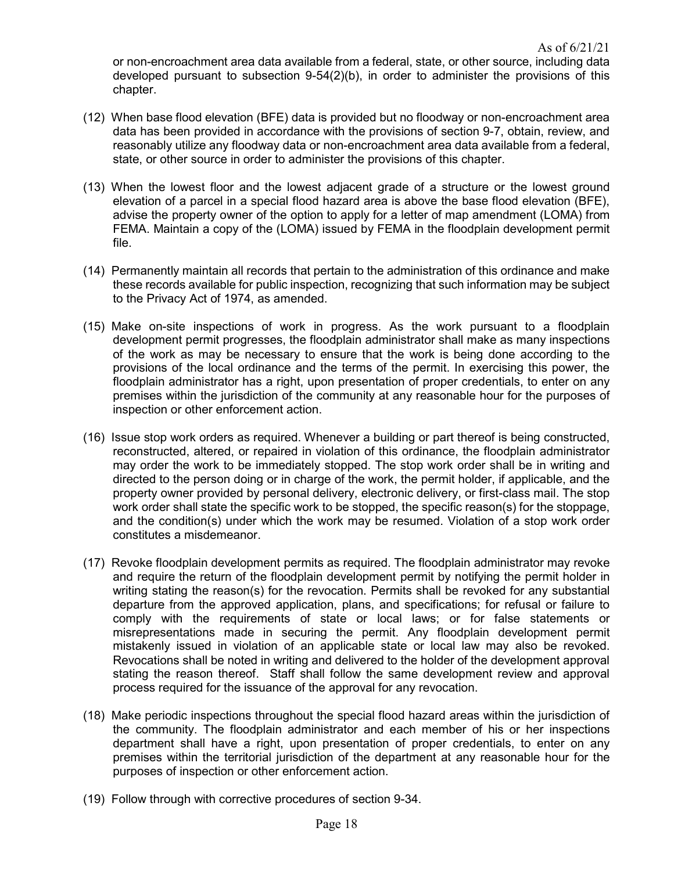or non-encroachment area data available from a federal, state, or other source, including data developed pursuant to subsection  $9-54(2)(b)$ , in order to administer the provisions of this chapter.

- (12) When base flood elevation (BFE) data is provided but no floodway or non-encroachment area data has been provided in accordance with the provisions of section 9-7, obtain, review, and reasonably utilize any floodway data or non-encroachment area data available from a federal, state, or other source in order to administer the provisions of this chapter.
- (13) When the lowest floor and the lowest adjacent grade of a structure or the lowest ground elevation of a parcel in a special flood hazard area is above the base flood elevation (BFE), advise the property owner of the option to apply for a letter of map amendment (LOMA) from FEMA. Maintain a copy of the (LOMA) issued by FEMA in the floodplain development permit file.
- (14) Permanently maintain all records that pertain to the administration of this ordinance and make these records available for public inspection, recognizing that such information may be subject to the Privacy Act of 1974, as amended.
- (15) Make on-site inspections of work in progress. As the work pursuant to a floodplain development permit progresses, the floodplain administrator shall make as many inspections of the work as may be necessary to ensure that the work is being done according to the provisions of the local ordinance and the terms of the permit. In exercising this power, the floodplain administrator has a right, upon presentation of proper credentials, to enter on any premises within the jurisdiction of the community at any reasonable hour for the purposes of inspection or other enforcement action.
- (16) Issue stop work orders as required. Whenever a building or part thereof is being constructed, reconstructed, altered, or repaired in violation of this ordinance, the floodplain administrator may order the work to be immediately stopped. The stop work order shall be in writing and directed to the person doing or in charge of the work, the permit holder, if applicable, and the property owner provided by personal delivery, electronic delivery, or first-class mail. The stop work order shall state the specific work to be stopped, the specific reason(s) for the stoppage, and the condition(s) under which the work may be resumed. Violation of a stop work order constitutes a misdemeanor.
- (17) Revoke floodplain development permits as required. The floodplain administrator may revoke and require the return of the floodplain development permit by notifying the permit holder in writing stating the reason(s) for the revocation. Permits shall be revoked for any substantial departure from the approved application, plans, and specifications; for refusal or failure to comply with the requirements of state or local laws; or for false statements or misrepresentations made in securing the permit. Any floodplain development permit mistakenly issued in violation of an applicable state or local law may also be revoked. Revocations shall be noted in writing and delivered to the holder of the development approval stating the reason thereof. Staff shall follow the same development review and approval process required for the issuance of the approval for any revocation.
- (18) Make periodic inspections throughout the special flood hazard areas within the jurisdiction of the community. The floodplain administrator and each member of his or her inspections department shall have a right, upon presentation of proper credentials, to enter on any premises within the territorial jurisdiction of the department at any reasonable hour for the purposes of inspection or other enforcement action.
- (19) Follow through with corrective procedures of section 9-34.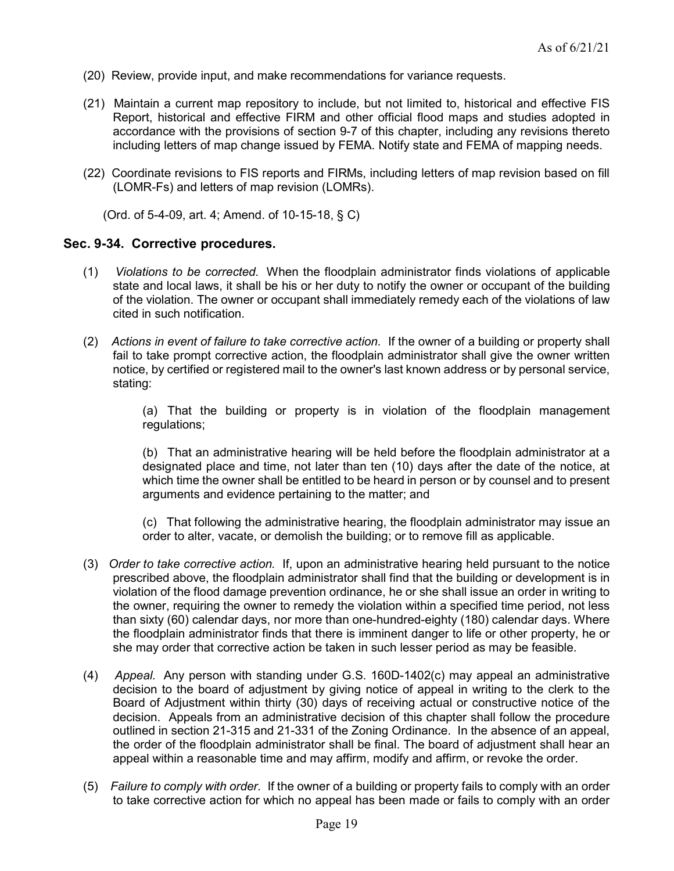- (20) Review, provide input, and make recommendations for variance requests.
- (21) Maintain a current map repository to include, but not limited to, historical and effective FIS Report, historical and effective FIRM and other official flood maps and studies adopted in accordance with the provisions of section 9-7 of this chapter, including any revisions thereto including letters of map change issued by FEMA. Notify state and FEMA of mapping needs.
- (22) Coordinate revisions to FIS reports and FIRMs, including letters of map revision based on fill (LOMR-Fs) and letters of map revision (LOMRs).

(Ord. of 5-4-09, art. 4; Amend. of 10-15-18, § C)

### Sec. 9-34. Corrective procedures.

- (1) Violations to be corrected. When the floodplain administrator finds violations of applicable state and local laws, it shall be his or her duty to notify the owner or occupant of the building of the violation. The owner or occupant shall immediately remedy each of the violations of law cited in such notification.
- (2) Actions in event of failure to take corrective action. If the owner of a building or property shall fail to take prompt corrective action, the floodplain administrator shall give the owner written notice, by certified or registered mail to the owner's last known address or by personal service, stating:

(a) That the building or property is in violation of the floodplain management regulations;

(b) That an administrative hearing will be held before the floodplain administrator at a designated place and time, not later than ten (10) days after the date of the notice, at which time the owner shall be entitled to be heard in person or by counsel and to present arguments and evidence pertaining to the matter; and

(c) That following the administrative hearing, the floodplain administrator may issue an order to alter, vacate, or demolish the building; or to remove fill as applicable.

- (3) Order to take corrective action. If, upon an administrative hearing held pursuant to the notice prescribed above, the floodplain administrator shall find that the building or development is in violation of the flood damage prevention ordinance, he or she shall issue an order in writing to the owner, requiring the owner to remedy the violation within a specified time period, not less than sixty (60) calendar days, nor more than one-hundred-eighty (180) calendar days. Where the floodplain administrator finds that there is imminent danger to life or other property, he or she may order that corrective action be taken in such lesser period as may be feasible.
- (4) Appeal. Any person with standing under G.S. 160D-1402(c) may appeal an administrative decision to the board of adjustment by giving notice of appeal in writing to the clerk to the Board of Adjustment within thirty (30) days of receiving actual or constructive notice of the decision. Appeals from an administrative decision of this chapter shall follow the procedure outlined in section 21-315 and 21-331 of the Zoning Ordinance. In the absence of an appeal, the order of the floodplain administrator shall be final. The board of adjustment shall hear an appeal within a reasonable time and may affirm, modify and affirm, or revoke the order.
- (5) Failure to comply with order. If the owner of a building or property fails to comply with an order to take corrective action for which no appeal has been made or fails to comply with an order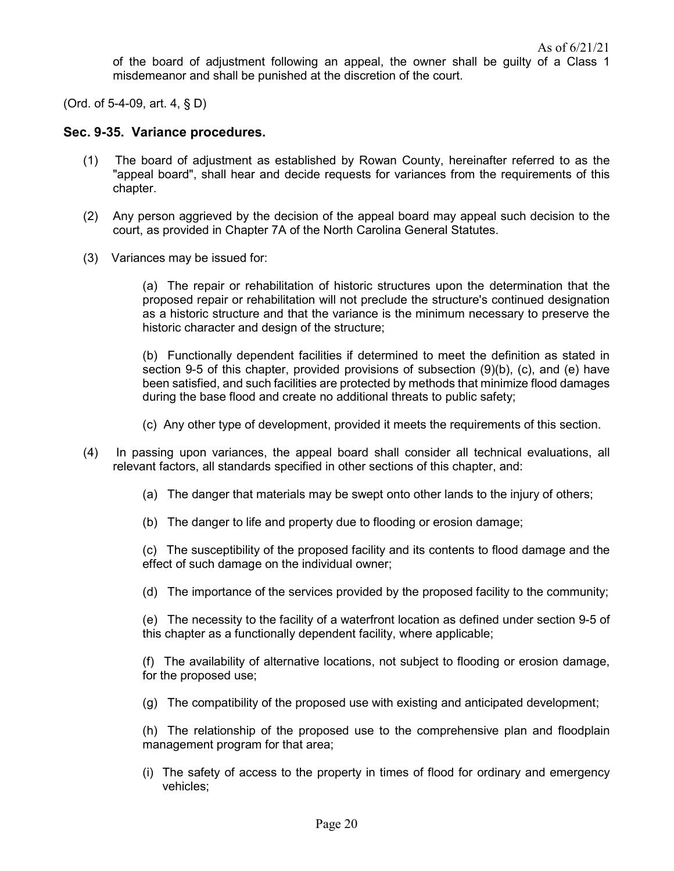of the board of adjustment following an appeal, the owner shall be guilty of a Class 1 misdemeanor and shall be punished at the discretion of the court.

(Ord. of 5-4-09, art. 4, § D)

# Sec. 9-35. Variance procedures.

- (1) The board of adjustment as established by Rowan County, hereinafter referred to as the "appeal board", shall hear and decide requests for variances from the requirements of this chapter.
- (2) Any person aggrieved by the decision of the appeal board may appeal such decision to the court, as provided in Chapter 7A of the North Carolina General Statutes.
- (3) Variances may be issued for:

(a) The repair or rehabilitation of historic structures upon the determination that the proposed repair or rehabilitation will not preclude the structure's continued designation as a historic structure and that the variance is the minimum necessary to preserve the historic character and design of the structure;

(b) Functionally dependent facilities if determined to meet the definition as stated in section 9-5 of this chapter, provided provisions of subsection (9)(b), (c), and (e) have been satisfied, and such facilities are protected by methods that minimize flood damages during the base flood and create no additional threats to public safety;

- (c) Any other type of development, provided it meets the requirements of this section.
- (4) In passing upon variances, the appeal board shall consider all technical evaluations, all relevant factors, all standards specified in other sections of this chapter, and:
	- (a) The danger that materials may be swept onto other lands to the injury of others;
	- (b) The danger to life and property due to flooding or erosion damage;

(c) The susceptibility of the proposed facility and its contents to flood damage and the effect of such damage on the individual owner;

(d) The importance of the services provided by the proposed facility to the community;

(e) The necessity to the facility of a waterfront location as defined under section 9-5 of this chapter as a functionally dependent facility, where applicable;

(f) The availability of alternative locations, not subject to flooding or erosion damage, for the proposed use;

(g) The compatibility of the proposed use with existing and anticipated development;

(h) The relationship of the proposed use to the comprehensive plan and floodplain management program for that area;

(i) The safety of access to the property in times of flood for ordinary and emergency vehicles;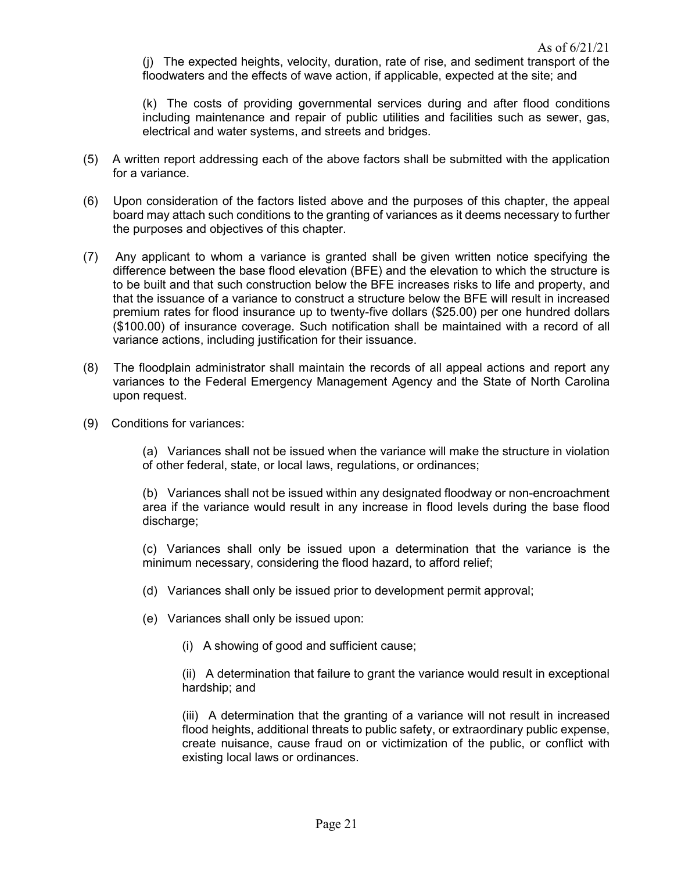(j) The expected heights, velocity, duration, rate of rise, and sediment transport of the floodwaters and the effects of wave action, if applicable, expected at the site; and

(k) The costs of providing governmental services during and after flood conditions including maintenance and repair of public utilities and facilities such as sewer, gas, electrical and water systems, and streets and bridges.

- (5) A written report addressing each of the above factors shall be submitted with the application for a variance.
- (6) Upon consideration of the factors listed above and the purposes of this chapter, the appeal board may attach such conditions to the granting of variances as it deems necessary to further the purposes and objectives of this chapter.
- (7) Any applicant to whom a variance is granted shall be given written notice specifying the difference between the base flood elevation (BFE) and the elevation to which the structure is to be built and that such construction below the BFE increases risks to life and property, and that the issuance of a variance to construct a structure below the BFE will result in increased premium rates for flood insurance up to twenty-five dollars (\$25.00) per one hundred dollars (\$100.00) of insurance coverage. Such notification shall be maintained with a record of all variance actions, including justification for their issuance.
- (8) The floodplain administrator shall maintain the records of all appeal actions and report any variances to the Federal Emergency Management Agency and the State of North Carolina upon request.
- (9) Conditions for variances:

(a) Variances shall not be issued when the variance will make the structure in violation of other federal, state, or local laws, regulations, or ordinances;

(b) Variances shall not be issued within any designated floodway or non-encroachment area if the variance would result in any increase in flood levels during the base flood discharge;

(c) Variances shall only be issued upon a determination that the variance is the minimum necessary, considering the flood hazard, to afford relief;

- (d) Variances shall only be issued prior to development permit approval;
- (e) Variances shall only be issued upon:
	- (i) A showing of good and sufficient cause;

(ii) A determination that failure to grant the variance would result in exceptional hardship; and

(iii) A determination that the granting of a variance will not result in increased flood heights, additional threats to public safety, or extraordinary public expense, create nuisance, cause fraud on or victimization of the public, or conflict with existing local laws or ordinances.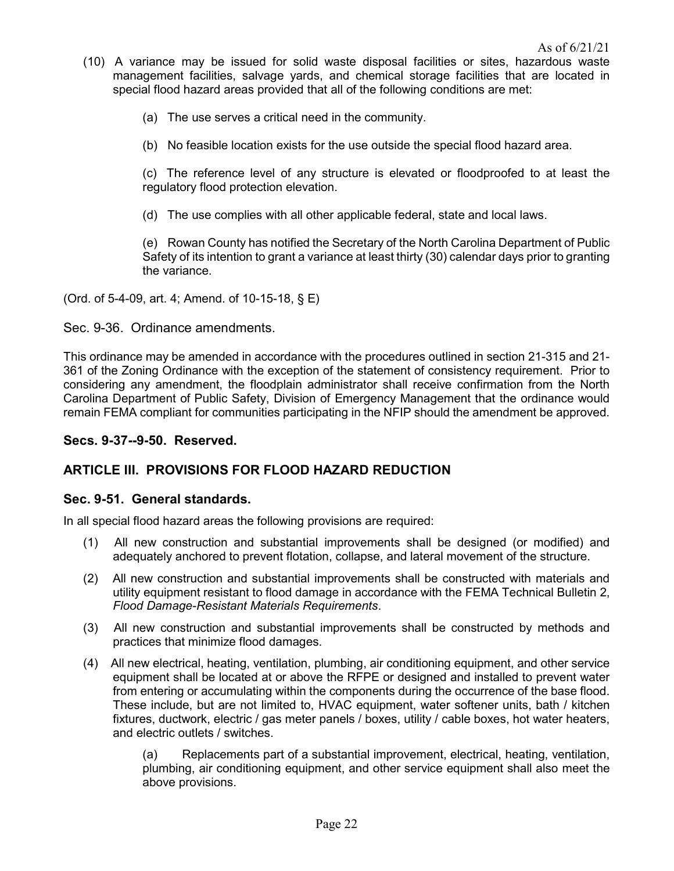- (10) A variance may be issued for solid waste disposal facilities or sites, hazardous waste management facilities, salvage yards, and chemical storage facilities that are located in special flood hazard areas provided that all of the following conditions are met:
	- (a) The use serves a critical need in the community.
	- (b) No feasible location exists for the use outside the special flood hazard area.

(c) The reference level of any structure is elevated or floodproofed to at least the regulatory flood protection elevation.

(d) The use complies with all other applicable federal, state and local laws.

(e) Rowan County has notified the Secretary of the North Carolina Department of Public Safety of its intention to grant a variance at least thirty (30) calendar days prior to granting the variance.

(Ord. of 5-4-09, art. 4; Amend. of 10-15-18, § E)

Sec. 9-36. Ordinance amendments.

This ordinance may be amended in accordance with the procedures outlined in section 21-315 and 21- 361 of the Zoning Ordinance with the exception of the statement of consistency requirement. Prior to considering any amendment, the floodplain administrator shall receive confirmation from the North Carolina Department of Public Safety, Division of Emergency Management that the ordinance would remain FEMA compliant for communities participating in the NFIP should the amendment be approved.

#### Secs. 9-37--9-50. Reserved.

### ARTICLE III. PROVISIONS FOR FLOOD HAZARD REDUCTION

#### Sec. 9-51. General standards.

In all special flood hazard areas the following provisions are required:

- (1) All new construction and substantial improvements shall be designed (or modified) and adequately anchored to prevent flotation, collapse, and lateral movement of the structure.
- (2) All new construction and substantial improvements shall be constructed with materials and utility equipment resistant to flood damage in accordance with the FEMA Technical Bulletin 2, Flood Damage-Resistant Materials Requirements.
- (3) All new construction and substantial improvements shall be constructed by methods and practices that minimize flood damages.
- (4) All new electrical, heating, ventilation, plumbing, air conditioning equipment, and other service equipment shall be located at or above the RFPE or designed and installed to prevent water from entering or accumulating within the components during the occurrence of the base flood. These include, but are not limited to, HVAC equipment, water softener units, bath / kitchen fixtures, ductwork, electric / gas meter panels / boxes, utility / cable boxes, hot water heaters, and electric outlets / switches.

(a) Replacements part of a substantial improvement, electrical, heating, ventilation, plumbing, air conditioning equipment, and other service equipment shall also meet the above provisions.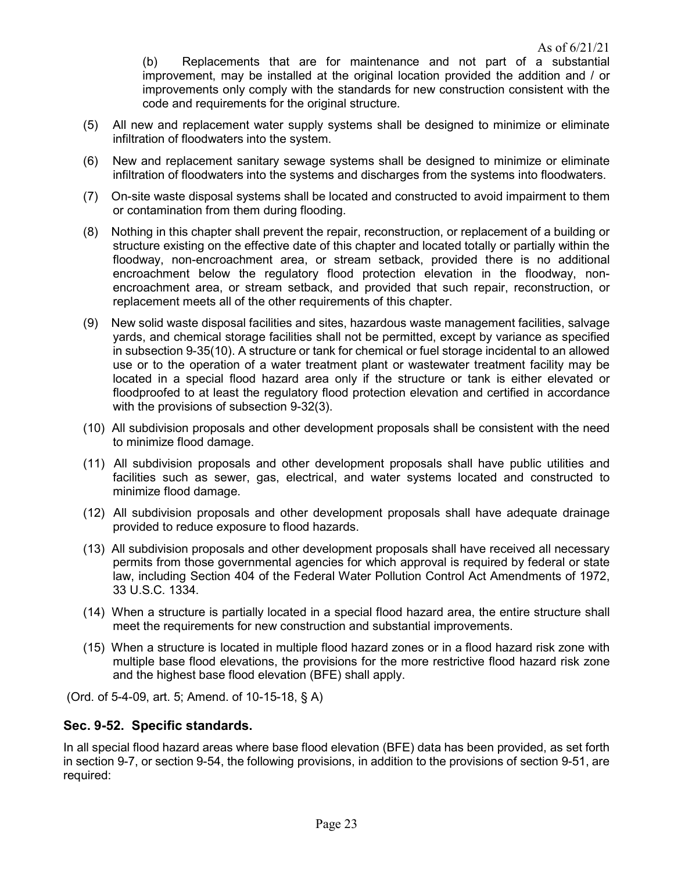(b) Replacements that are for maintenance and not part of a substantial improvement, may be installed at the original location provided the addition and / or improvements only comply with the standards for new construction consistent with the code and requirements for the original structure.

- (5) All new and replacement water supply systems shall be designed to minimize or eliminate infiltration of floodwaters into the system.
- (6) New and replacement sanitary sewage systems shall be designed to minimize or eliminate infiltration of floodwaters into the systems and discharges from the systems into floodwaters.
- (7) On-site waste disposal systems shall be located and constructed to avoid impairment to them or contamination from them during flooding.
- (8) Nothing in this chapter shall prevent the repair, reconstruction, or replacement of a building or structure existing on the effective date of this chapter and located totally or partially within the floodway, non-encroachment area, or stream setback, provided there is no additional encroachment below the regulatory flood protection elevation in the floodway, nonencroachment area, or stream setback, and provided that such repair, reconstruction, or replacement meets all of the other requirements of this chapter.
- (9) New solid waste disposal facilities and sites, hazardous waste management facilities, salvage yards, and chemical storage facilities shall not be permitted, except by variance as specified in subsection 9-35(10). A structure or tank for chemical or fuel storage incidental to an allowed use or to the operation of a water treatment plant or wastewater treatment facility may be located in a special flood hazard area only if the structure or tank is either elevated or floodproofed to at least the regulatory flood protection elevation and certified in accordance with the provisions of subsection 9-32(3).
- (10) All subdivision proposals and other development proposals shall be consistent with the need to minimize flood damage.
- (11) All subdivision proposals and other development proposals shall have public utilities and facilities such as sewer, gas, electrical, and water systems located and constructed to minimize flood damage.
- (12) All subdivision proposals and other development proposals shall have adequate drainage provided to reduce exposure to flood hazards.
- (13) All subdivision proposals and other development proposals shall have received all necessary permits from those governmental agencies for which approval is required by federal or state law, including Section 404 of the Federal Water Pollution Control Act Amendments of 1972, 33 U.S.C. 1334.
- (14) When a structure is partially located in a special flood hazard area, the entire structure shall meet the requirements for new construction and substantial improvements.
- (15) When a structure is located in multiple flood hazard zones or in a flood hazard risk zone with multiple base flood elevations, the provisions for the more restrictive flood hazard risk zone and the highest base flood elevation (BFE) shall apply.

(Ord. of 5-4-09, art. 5; Amend. of 10-15-18, § A)

### Sec. 9-52. Specific standards.

In all special flood hazard areas where base flood elevation (BFE) data has been provided, as set forth in section 9-7, or section 9-54, the following provisions, in addition to the provisions of section 9-51, are required: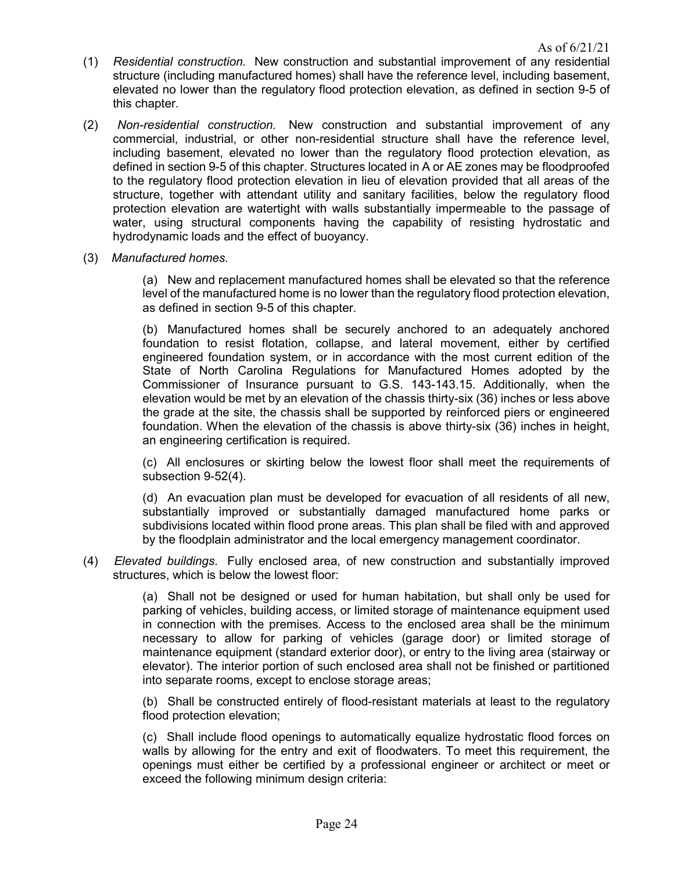- (1) Residential construction. New construction and substantial improvement of any residential structure (including manufactured homes) shall have the reference level, including basement, elevated no lower than the regulatory flood protection elevation, as defined in section 9-5 of this chapter.
- (2) Non-residential construction. New construction and substantial improvement of any commercial, industrial, or other non-residential structure shall have the reference level, including basement, elevated no lower than the regulatory flood protection elevation, as defined in section 9-5 of this chapter. Structures located in A or AE zones may be floodproofed to the regulatory flood protection elevation in lieu of elevation provided that all areas of the structure, together with attendant utility and sanitary facilities, below the regulatory flood protection elevation are watertight with walls substantially impermeable to the passage of water, using structural components having the capability of resisting hydrostatic and hydrodynamic loads and the effect of buoyancy.
- (3) Manufactured homes.

(a) New and replacement manufactured homes shall be elevated so that the reference level of the manufactured home is no lower than the regulatory flood protection elevation, as defined in section 9-5 of this chapter.

(b) Manufactured homes shall be securely anchored to an adequately anchored foundation to resist flotation, collapse, and lateral movement, either by certified engineered foundation system, or in accordance with the most current edition of the State of North Carolina Regulations for Manufactured Homes adopted by the Commissioner of Insurance pursuant to G.S. 143-143.15. Additionally, when the elevation would be met by an elevation of the chassis thirty-six (36) inches or less above the grade at the site, the chassis shall be supported by reinforced piers or engineered foundation. When the elevation of the chassis is above thirty-six (36) inches in height, an engineering certification is required.

(c) All enclosures or skirting below the lowest floor shall meet the requirements of subsection 9-52(4).

(d) An evacuation plan must be developed for evacuation of all residents of all new, substantially improved or substantially damaged manufactured home parks or subdivisions located within flood prone areas. This plan shall be filed with and approved by the floodplain administrator and the local emergency management coordinator.

(4) Elevated buildings. Fully enclosed area, of new construction and substantially improved structures, which is below the lowest floor:

> (a) Shall not be designed or used for human habitation, but shall only be used for parking of vehicles, building access, or limited storage of maintenance equipment used in connection with the premises. Access to the enclosed area shall be the minimum necessary to allow for parking of vehicles (garage door) or limited storage of maintenance equipment (standard exterior door), or entry to the living area (stairway or elevator). The interior portion of such enclosed area shall not be finished or partitioned into separate rooms, except to enclose storage areas;

> (b) Shall be constructed entirely of flood-resistant materials at least to the regulatory flood protection elevation;

> (c) Shall include flood openings to automatically equalize hydrostatic flood forces on walls by allowing for the entry and exit of floodwaters. To meet this requirement, the openings must either be certified by a professional engineer or architect or meet or exceed the following minimum design criteria: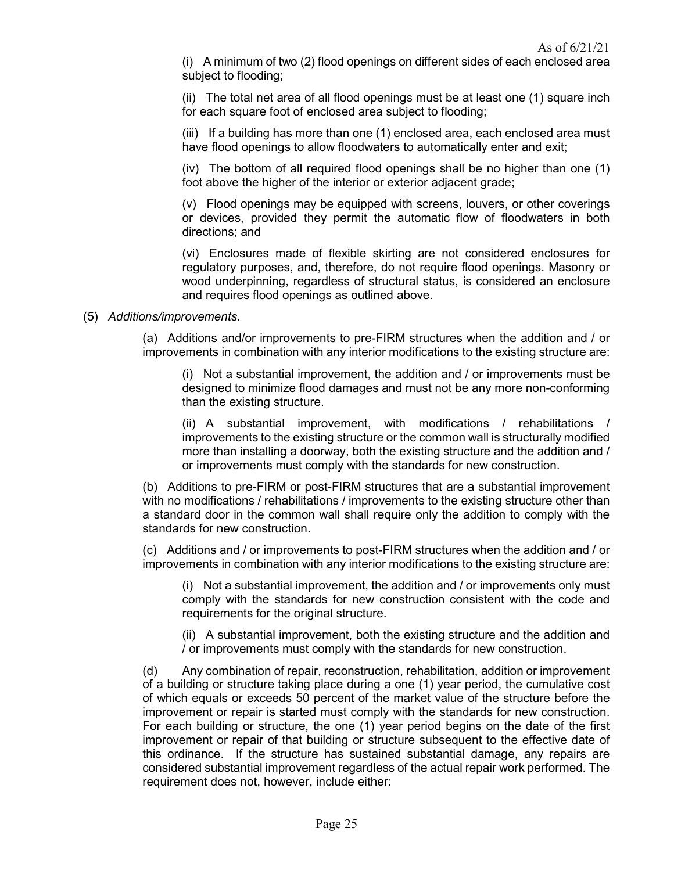(i) A minimum of two (2) flood openings on different sides of each enclosed area subject to flooding;

(ii) The total net area of all flood openings must be at least one (1) square inch for each square foot of enclosed area subject to flooding;

(iii) If a building has more than one (1) enclosed area, each enclosed area must have flood openings to allow floodwaters to automatically enter and exit;

(iv) The bottom of all required flood openings shall be no higher than one (1) foot above the higher of the interior or exterior adjacent grade;

(v) Flood openings may be equipped with screens, louvers, or other coverings or devices, provided they permit the automatic flow of floodwaters in both directions; and

(vi) Enclosures made of flexible skirting are not considered enclosures for regulatory purposes, and, therefore, do not require flood openings. Masonry or wood underpinning, regardless of structural status, is considered an enclosure and requires flood openings as outlined above.

#### (5) Additions/improvements.

(a) Additions and/or improvements to pre-FIRM structures when the addition and / or improvements in combination with any interior modifications to the existing structure are:

(i) Not a substantial improvement, the addition and / or improvements must be designed to minimize flood damages and must not be any more non-conforming than the existing structure.

(ii) A substantial improvement, with modifications / rehabilitations / improvements to the existing structure or the common wall is structurally modified more than installing a doorway, both the existing structure and the addition and / or improvements must comply with the standards for new construction.

(b) Additions to pre-FIRM or post-FIRM structures that are a substantial improvement with no modifications / rehabilitations / improvements to the existing structure other than a standard door in the common wall shall require only the addition to comply with the standards for new construction.

(c) Additions and / or improvements to post-FIRM structures when the addition and / or improvements in combination with any interior modifications to the existing structure are:

(i) Not a substantial improvement, the addition and / or improvements only must comply with the standards for new construction consistent with the code and requirements for the original structure.

(ii) A substantial improvement, both the existing structure and the addition and / or improvements must comply with the standards for new construction.

(d) Any combination of repair, reconstruction, rehabilitation, addition or improvement of a building or structure taking place during a one (1) year period, the cumulative cost of which equals or exceeds 50 percent of the market value of the structure before the improvement or repair is started must comply with the standards for new construction. For each building or structure, the one (1) year period begins on the date of the first improvement or repair of that building or structure subsequent to the effective date of this ordinance. If the structure has sustained substantial damage, any repairs are considered substantial improvement regardless of the actual repair work performed. The requirement does not, however, include either: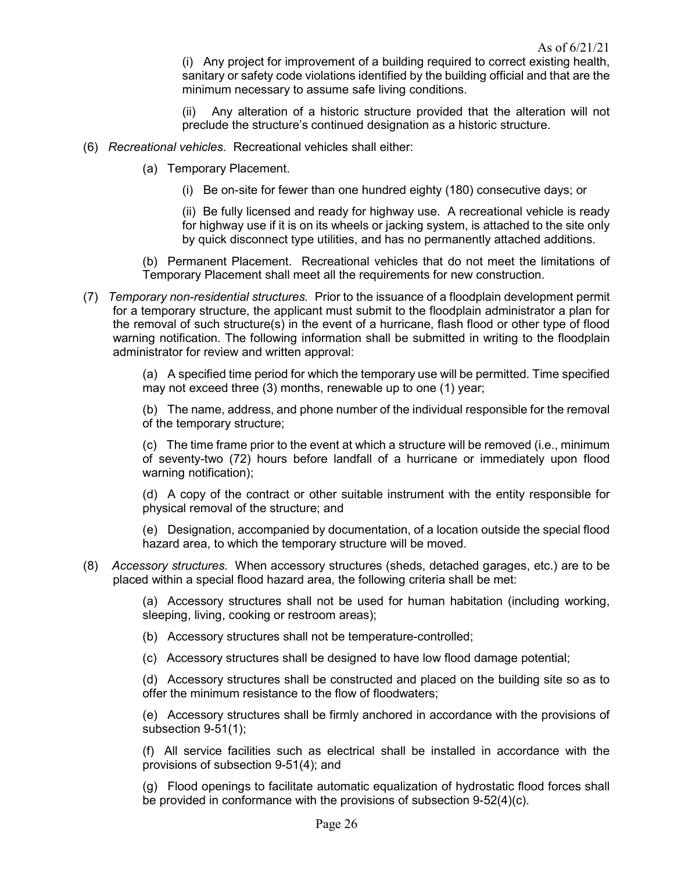(i) Any project for improvement of a building required to correct existing health, sanitary or safety code violations identified by the building official and that are the minimum necessary to assume safe living conditions.

(ii) Any alteration of a historic structure provided that the alteration will not preclude the structure's continued designation as a historic structure.

- (6) Recreational vehicles. Recreational vehicles shall either:
	- (a) Temporary Placement.
		- (i) Be on-site for fewer than one hundred eighty (180) consecutive days; or

(ii) Be fully licensed and ready for highway use. A recreational vehicle is ready for highway use if it is on its wheels or jacking system, is attached to the site only by quick disconnect type utilities, and has no permanently attached additions.

(b) Permanent Placement. Recreational vehicles that do not meet the limitations of Temporary Placement shall meet all the requirements for new construction.

(7) Temporary non-residential structures. Prior to the issuance of a floodplain development permit for a temporary structure, the applicant must submit to the floodplain administrator a plan for the removal of such structure(s) in the event of a hurricane, flash flood or other type of flood warning notification. The following information shall be submitted in writing to the floodplain administrator for review and written approval:

> (a) A specified time period for which the temporary use will be permitted. Time specified may not exceed three (3) months, renewable up to one (1) year;

> (b) The name, address, and phone number of the individual responsible for the removal of the temporary structure;

> (c) The time frame prior to the event at which a structure will be removed (i.e., minimum of seventy-two (72) hours before landfall of a hurricane or immediately upon flood warning notification);

> (d) A copy of the contract or other suitable instrument with the entity responsible for physical removal of the structure; and

> (e) Designation, accompanied by documentation, of a location outside the special flood hazard area, to which the temporary structure will be moved.

(8) Accessory structures. When accessory structures (sheds, detached garages, etc.) are to be placed within a special flood hazard area, the following criteria shall be met:

> (a) Accessory structures shall not be used for human habitation (including working, sleeping, living, cooking or restroom areas);

- (b) Accessory structures shall not be temperature-controlled;
- (c) Accessory structures shall be designed to have low flood damage potential;

(d) Accessory structures shall be constructed and placed on the building site so as to offer the minimum resistance to the flow of floodwaters;

(e) Accessory structures shall be firmly anchored in accordance with the provisions of subsection 9-51(1);

(f) All service facilities such as electrical shall be installed in accordance with the provisions of subsection 9-51(4); and

(g) Flood openings to facilitate automatic equalization of hydrostatic flood forces shall be provided in conformance with the provisions of subsection 9-52(4)(c).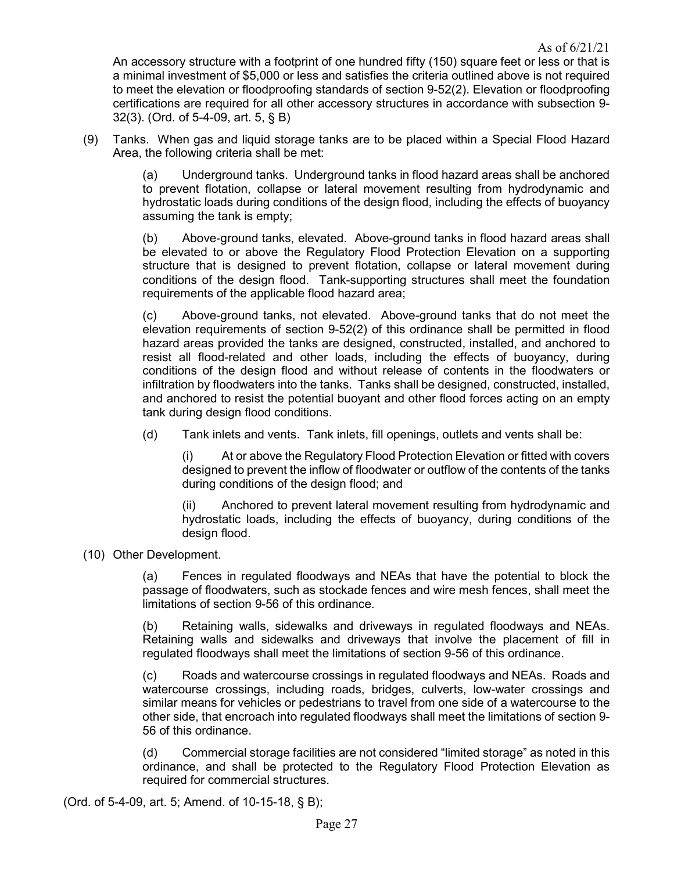An accessory structure with a footprint of one hundred fifty (150) square feet or less or that is a minimal investment of \$5,000 or less and satisfies the criteria outlined above is not required to meet the elevation or floodproofing standards of section 9-52(2). Elevation or floodproofing certifications are required for all other accessory structures in accordance with subsection 9- 32(3). (Ord. of 5-4-09, art. 5, § B)

(9) Tanks. When gas and liquid storage tanks are to be placed within a Special Flood Hazard Area, the following criteria shall be met:

> (a) Underground tanks. Underground tanks in flood hazard areas shall be anchored to prevent flotation, collapse or lateral movement resulting from hydrodynamic and hydrostatic loads during conditions of the design flood, including the effects of buoyancy assuming the tank is empty;

> (b) Above-ground tanks, elevated. Above-ground tanks in flood hazard areas shall be elevated to or above the Regulatory Flood Protection Elevation on a supporting structure that is designed to prevent flotation, collapse or lateral movement during conditions of the design flood. Tank-supporting structures shall meet the foundation requirements of the applicable flood hazard area;

> (c) Above-ground tanks, not elevated. Above-ground tanks that do not meet the elevation requirements of section 9-52(2) of this ordinance shall be permitted in flood hazard areas provided the tanks are designed, constructed, installed, and anchored to resist all flood-related and other loads, including the effects of buoyancy, during conditions of the design flood and without release of contents in the floodwaters or infiltration by floodwaters into the tanks. Tanks shall be designed, constructed, installed, and anchored to resist the potential buoyant and other flood forces acting on an empty tank during design flood conditions.

(d) Tank inlets and vents. Tank inlets, fill openings, outlets and vents shall be:

(i) At or above the Regulatory Flood Protection Elevation or fitted with covers designed to prevent the inflow of floodwater or outflow of the contents of the tanks during conditions of the design flood; and

(ii) Anchored to prevent lateral movement resulting from hydrodynamic and hydrostatic loads, including the effects of buoyancy, during conditions of the design flood.

### (10) Other Development.

(a) Fences in regulated floodways and NEAs that have the potential to block the passage of floodwaters, such as stockade fences and wire mesh fences, shall meet the limitations of section 9-56 of this ordinance.

(b) Retaining walls, sidewalks and driveways in regulated floodways and NEAs. Retaining walls and sidewalks and driveways that involve the placement of fill in regulated floodways shall meet the limitations of section 9-56 of this ordinance.

(c) Roads and watercourse crossings in regulated floodways and NEAs. Roads and watercourse crossings, including roads, bridges, culverts, low-water crossings and similar means for vehicles or pedestrians to travel from one side of a watercourse to the other side, that encroach into regulated floodways shall meet the limitations of section 9- 56 of this ordinance.

(d) Commercial storage facilities are not considered "limited storage" as noted in this ordinance, and shall be protected to the Regulatory Flood Protection Elevation as required for commercial structures.

(Ord. of 5-4-09, art. 5; Amend. of 10-15-18, § B);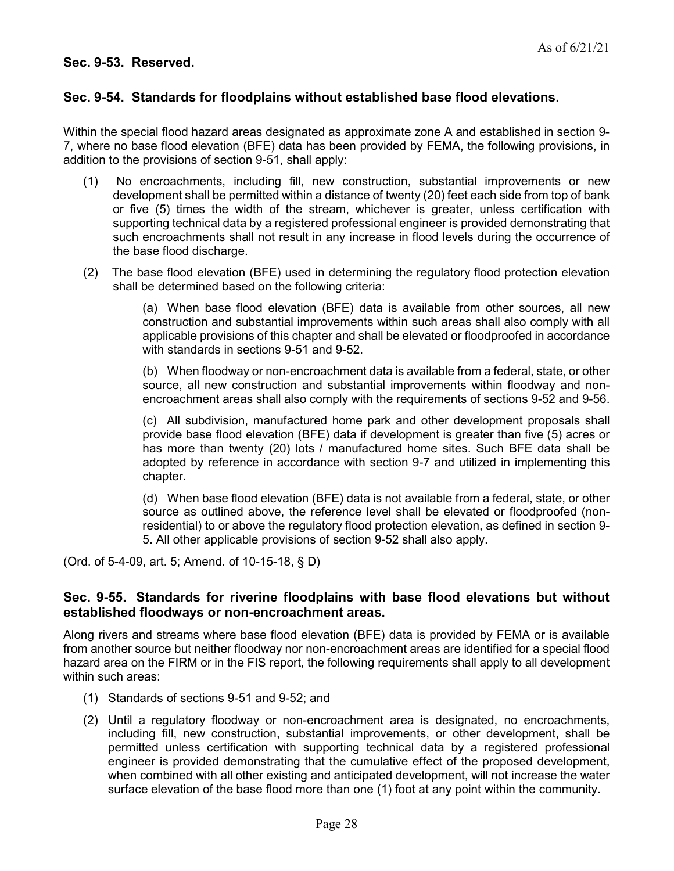## Sec. 9-53. Reserved.

# Sec. 9-54. Standards for floodplains without established base flood elevations.

Within the special flood hazard areas designated as approximate zone A and established in section 9- 7, where no base flood elevation (BFE) data has been provided by FEMA, the following provisions, in addition to the provisions of section 9-51, shall apply:

- (1) No encroachments, including fill, new construction, substantial improvements or new development shall be permitted within a distance of twenty (20) feet each side from top of bank or five (5) times the width of the stream, whichever is greater, unless certification with supporting technical data by a registered professional engineer is provided demonstrating that such encroachments shall not result in any increase in flood levels during the occurrence of the base flood discharge.
- (2) The base flood elevation (BFE) used in determining the regulatory flood protection elevation shall be determined based on the following criteria:

(a) When base flood elevation (BFE) data is available from other sources, all new construction and substantial improvements within such areas shall also comply with all applicable provisions of this chapter and shall be elevated or floodproofed in accordance with standards in sections 9-51 and 9-52.

(b) When floodway or non-encroachment data is available from a federal, state, or other source, all new construction and substantial improvements within floodway and nonencroachment areas shall also comply with the requirements of sections 9-52 and 9-56.

(c) All subdivision, manufactured home park and other development proposals shall provide base flood elevation (BFE) data if development is greater than five (5) acres or has more than twenty (20) lots / manufactured home sites. Such BFE data shall be adopted by reference in accordance with section 9-7 and utilized in implementing this chapter.

(d) When base flood elevation (BFE) data is not available from a federal, state, or other source as outlined above, the reference level shall be elevated or floodproofed (nonresidential) to or above the regulatory flood protection elevation, as defined in section 9- 5. All other applicable provisions of section 9-52 shall also apply.

(Ord. of 5-4-09, art. 5; Amend. of 10-15-18, § D)

### Sec. 9-55. Standards for riverine floodplains with base flood elevations but without established floodways or non-encroachment areas.

Along rivers and streams where base flood elevation (BFE) data is provided by FEMA or is available from another source but neither floodway nor non-encroachment areas are identified for a special flood hazard area on the FIRM or in the FIS report, the following requirements shall apply to all development within such areas:

- (1) Standards of sections 9-51 and 9-52; and
- (2) Until a regulatory floodway or non-encroachment area is designated, no encroachments, including fill, new construction, substantial improvements, or other development, shall be permitted unless certification with supporting technical data by a registered professional engineer is provided demonstrating that the cumulative effect of the proposed development, when combined with all other existing and anticipated development, will not increase the water surface elevation of the base flood more than one (1) foot at any point within the community.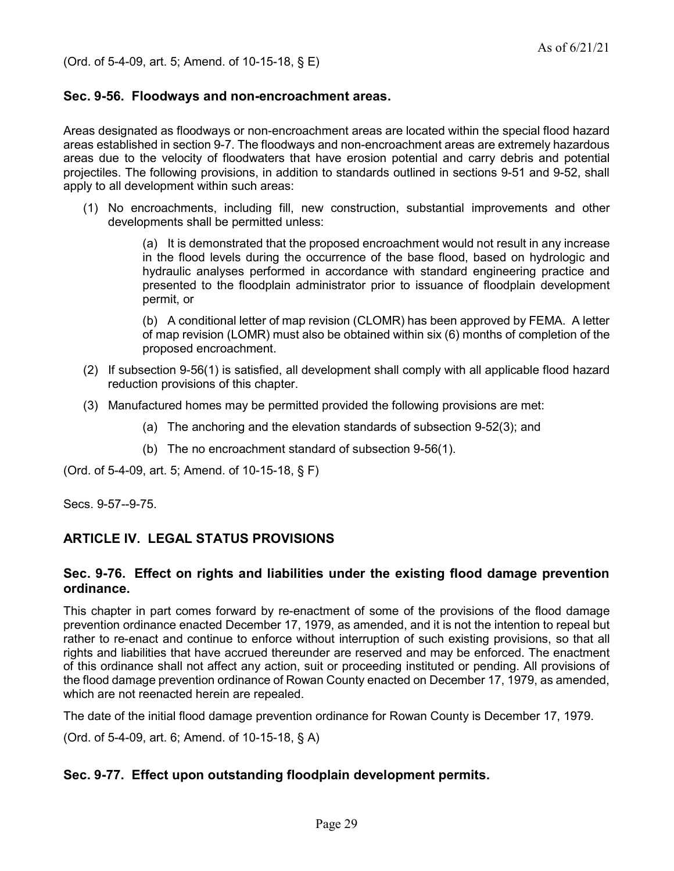### Sec. 9-56. Floodways and non-encroachment areas.

Areas designated as floodways or non-encroachment areas are located within the special flood hazard areas established in section 9-7. The floodways and non-encroachment areas are extremely hazardous areas due to the velocity of floodwaters that have erosion potential and carry debris and potential projectiles. The following provisions, in addition to standards outlined in sections 9-51 and 9-52, shall apply to all development within such areas:

(1) No encroachments, including fill, new construction, substantial improvements and other developments shall be permitted unless:

> (a) It is demonstrated that the proposed encroachment would not result in any increase in the flood levels during the occurrence of the base flood, based on hydrologic and hydraulic analyses performed in accordance with standard engineering practice and presented to the floodplain administrator prior to issuance of floodplain development permit, or

> (b) A conditional letter of map revision (CLOMR) has been approved by FEMA. A letter of map revision (LOMR) must also be obtained within six (6) months of completion of the proposed encroachment.

- (2) If subsection 9-56(1) is satisfied, all development shall comply with all applicable flood hazard reduction provisions of this chapter.
- (3) Manufactured homes may be permitted provided the following provisions are met:
	- (a) The anchoring and the elevation standards of subsection 9-52(3); and
	- (b) The no encroachment standard of subsection 9-56(1).

(Ord. of 5-4-09, art. 5; Amend. of 10-15-18, § F)

Secs. 9-57--9-75.

## ARTICLE IV. LEGAL STATUS PROVISIONS

### Sec. 9-76. Effect on rights and liabilities under the existing flood damage prevention ordinance.

This chapter in part comes forward by re-enactment of some of the provisions of the flood damage prevention ordinance enacted December 17, 1979, as amended, and it is not the intention to repeal but rather to re-enact and continue to enforce without interruption of such existing provisions, so that all rights and liabilities that have accrued thereunder are reserved and may be enforced. The enactment of this ordinance shall not affect any action, suit or proceeding instituted or pending. All provisions of the flood damage prevention ordinance of Rowan County enacted on December 17, 1979, as amended, which are not reenacted herein are repealed.

The date of the initial flood damage prevention ordinance for Rowan County is December 17, 1979.

(Ord. of 5-4-09, art. 6; Amend. of 10-15-18, § A)

## Sec. 9-77. Effect upon outstanding floodplain development permits.